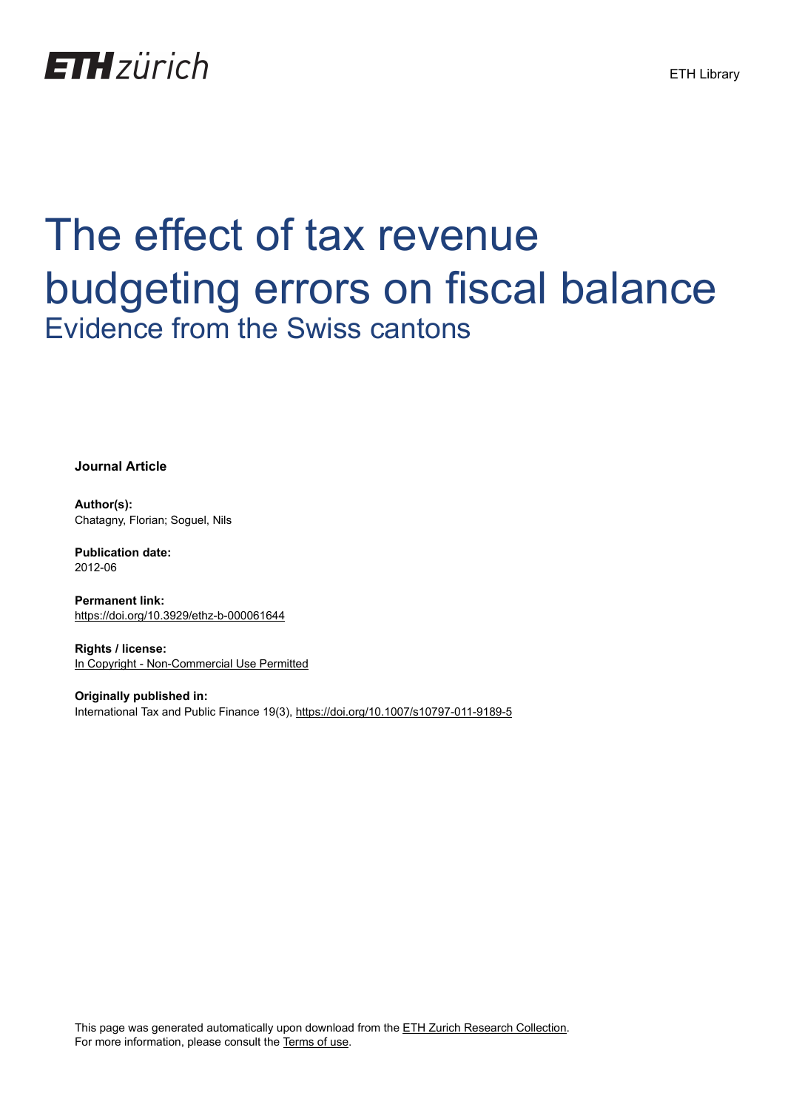

# The effect of tax revenue budgeting errors on fiscal balance Evidence from the Swiss cantons

**Journal Article**

**Author(s):** Chatagny, Florian; Soguel, Nils

**Publication date:** 2012-06

**Permanent link:** <https://doi.org/10.3929/ethz-b-000061644>

**Rights / license:** [In Copyright - Non-Commercial Use Permitted](http://rightsstatements.org/page/InC-NC/1.0/)

**Originally published in:** International Tax and Public Finance 19(3),<https://doi.org/10.1007/s10797-011-9189-5>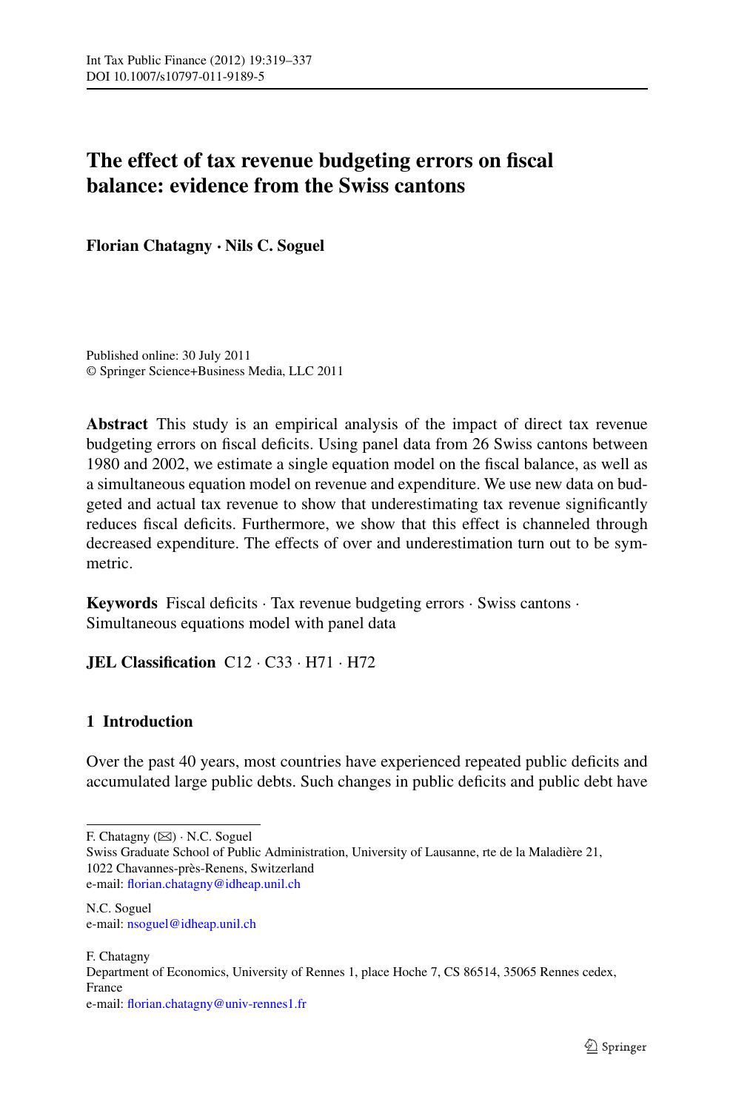# **The effect of tax revenue budgeting errors on fiscal balance: evidence from the Swiss cantons**

**Florian Chatagny · Nils C. Soguel**

Published online: 30 July 2011 © Springer Science+Business Media, LLC 2011

**Abstract** This study is an empirical analysis of the impact of direct tax revenue budgeting errors on fiscal deficits. Using panel data from 26 Swiss cantons between 1980 and 2002, we estimate a single equation model on the fiscal balance, as well as a simultaneous equation model on revenue and expenditure. We use new data on budgeted and actual tax revenue to show that underestimating tax revenue significantly reduces fiscal deficits. Furthermore, we show that this effect is channeled through decreased expenditure. The effects of over and underestimation turn out to be symmetric.

**Keywords** Fiscal deficits · Tax revenue budgeting errors · Swiss cantons · Simultaneous equations model with panel data

**JEL Classification** C12 · C33 · H71 · H72

### **1 Introduction**

Over the past 40 years, most countries have experienced repeated public deficits and accumulated large public debts. Such changes in public deficits and public debt have

N.C. Soguel e-mail: [nsoguel@idheap.unil.ch](mailto:nsoguel@idheap.unil.ch)

F. Chatagny ( $\boxtimes$ ) · N.C. Soguel

Swiss Graduate School of Public Administration, University of Lausanne, rte de la Maladière 21, 1022 Chavannes-près-Renens, Switzerland e-mail: [florian.chatagny@idheap.unil.ch](mailto:florian.chatagny@idheap.unil.ch)

F. Chatagny Department of Economics, University of Rennes 1, place Hoche 7, CS 86514, 35065 Rennes cedex, France e-mail: [florian.chatagny@univ-rennes1.fr](mailto:florian.chatagny@univ-rennes1.fr)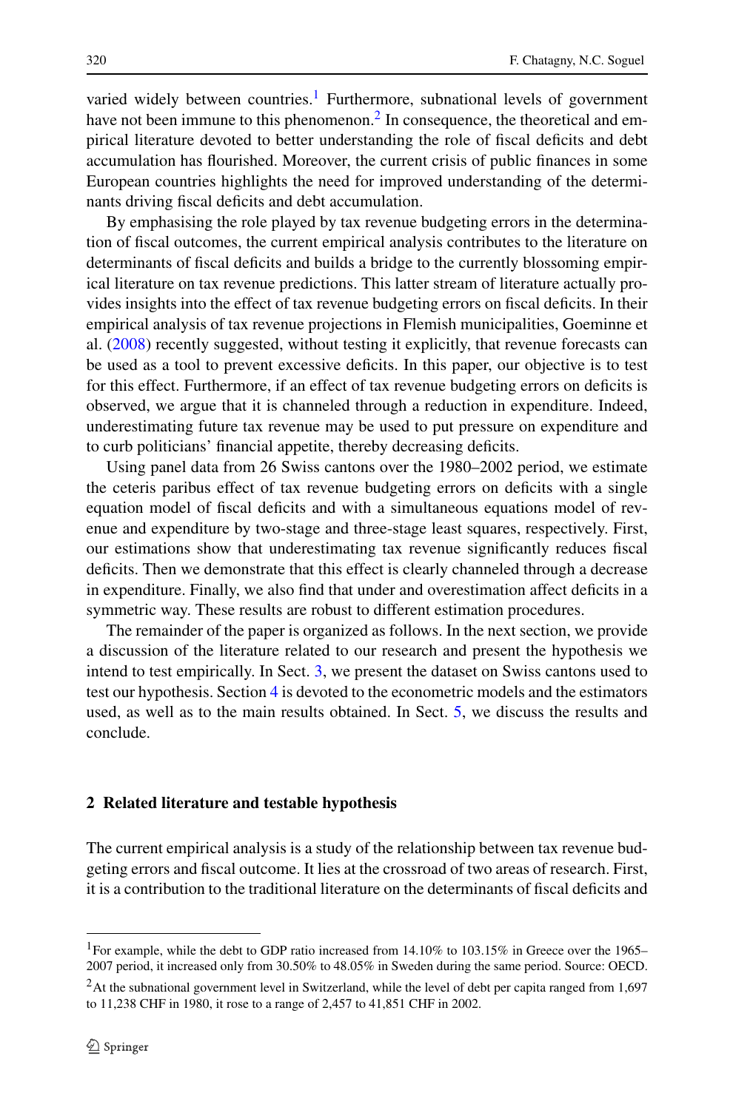varied widely between countries.<sup>[1](#page-2-0)</sup> Furthermore, subnational levels of government have not been immune to this phenomenon.<sup>[2](#page-2-1)</sup> In consequence, the theoretical and empirical literature devoted to better understanding the role of fiscal deficits and debt accumulation has flourished. Moreover, the current crisis of public finances in some European countries highlights the need for improved understanding of the determinants driving fiscal deficits and debt accumulation.

By emphasising the role played by tax revenue budgeting errors in the determination of fiscal outcomes, the current empirical analysis contributes to the literature on determinants of fiscal deficits and builds a bridge to the currently blossoming empirical literature on tax revenue predictions. This latter stream of literature actually provides insights into the effect of tax revenue budgeting errors on fiscal deficits. In their empirical analysis of tax revenue projections in Flemish municipalities, Goeminne et al. [\(2008](#page-18-0)) recently suggested, without testing it explicitly, that revenue forecasts can be used as a tool to prevent excessive deficits. In this paper, our objective is to test for this effect. Furthermore, if an effect of tax revenue budgeting errors on deficits is observed, we argue that it is channeled through a reduction in expenditure. Indeed, underestimating future tax revenue may be used to put pressure on expenditure and to curb politicians' financial appetite, thereby decreasing deficits.

Using panel data from 26 Swiss cantons over the 1980–2002 period, we estimate the ceteris paribus effect of tax revenue budgeting errors on deficits with a single equation model of fiscal deficits and with a simultaneous equations model of revenue and expenditure by two-stage and three-stage least squares, respectively. First, our estimations show that underestimating tax revenue significantly reduces fiscal deficits. Then we demonstrate that this effect is clearly channeled through a decrease in expenditure. Finally, we also find that under and overestimation affect deficits in a symmetric way. These results are robust to different estimation procedures.

<span id="page-2-2"></span>The remainder of the paper is organized as follows. In the next section, we provide a discussion of the literature related to our research and present the hypothesis we intend to test empirically. In Sect. [3,](#page-6-0) we present the dataset on Swiss cantons used to test our hypothesis. Section [4](#page-9-0) is devoted to the econometric models and the estimators used, as well as to the main results obtained. In Sect. [5](#page-13-0), we discuss the results and conclude.

#### <span id="page-2-0"></span>**2 Related literature and testable hypothesis**

<span id="page-2-1"></span>The current empirical analysis is a study of the relationship between tax revenue budgeting errors and fiscal outcome. It lies at the crossroad of two areas of research. First, it is a contribution to the traditional literature on the determinants of fiscal deficits and

<sup>&</sup>lt;sup>1</sup> For example, while the debt to GDP ratio increased from 14.10% to 103.15% in Greece over the 1965– 2007 period, it increased only from 30.50% to 48.05% in Sweden during the same period. Source: OECD.

<sup>&</sup>lt;sup>2</sup>At the subnational government level in Switzerland, while the level of debt per capita ranged from 1,697 to 11,238 CHF in 1980, it rose to a range of 2,457 to 41,851 CHF in 2002.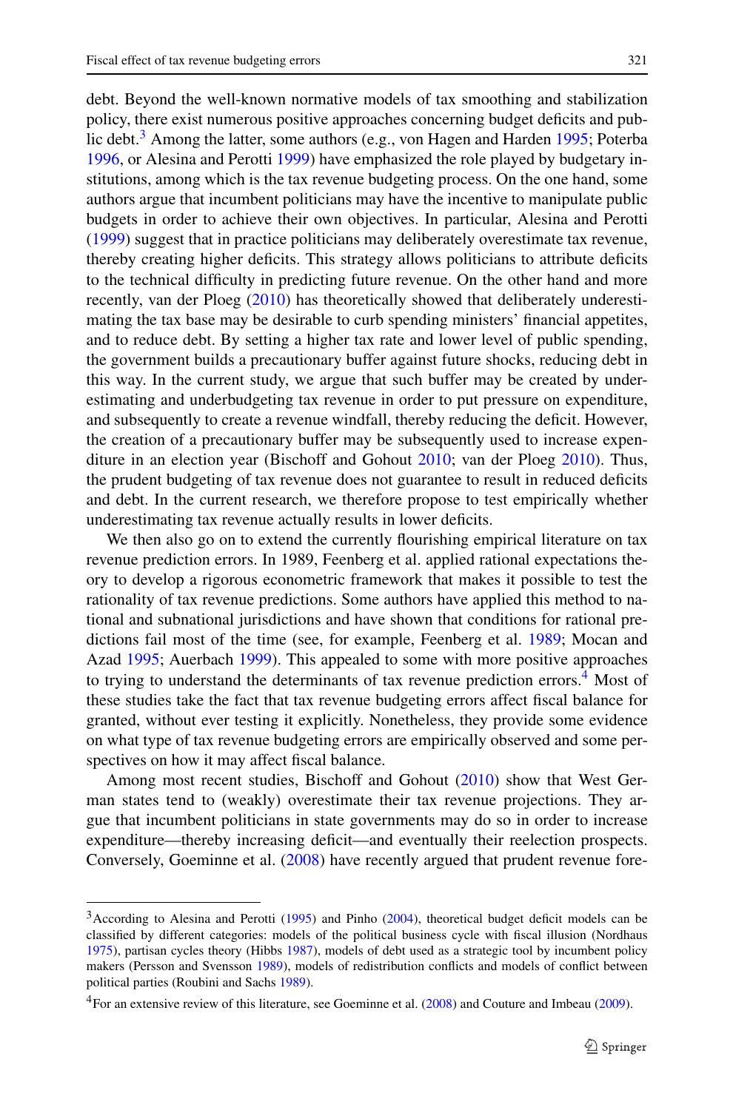debt. Beyond the well-known normative models of tax smoothing and stabilization policy, there exist numerous positive approaches concerning budget deficits and pub-lic debt.<sup>[3](#page-3-0)</sup> Among the latter, some authors (e.g., von Hagen and Harden [1995](#page-19-0); Poterba [1996,](#page-19-1) or Alesina and Perotti [1999\)](#page-18-1) have emphasized the role played by budgetary institutions, among which is the tax revenue budgeting process. On the one hand, some authors argue that incumbent politicians may have the incentive to manipulate public budgets in order to achieve their own objectives. In particular, Alesina and Perotti [\(1999](#page-18-1)) suggest that in practice politicians may deliberately overestimate tax revenue, thereby creating higher deficits. This strategy allows politicians to attribute deficits to the technical difficulty in predicting future revenue. On the other hand and more recently, van der Ploeg [\(2010](#page-19-2)) has theoretically showed that deliberately underestimating the tax base may be desirable to curb spending ministers' financial appetites, and to reduce debt. By setting a higher tax rate and lower level of public spending, the government builds a precautionary buffer against future shocks, reducing debt in this way. In the current study, we argue that such buffer may be created by underestimating and underbudgeting tax revenue in order to put pressure on expenditure, and subsequently to create a revenue windfall, thereby reducing the deficit. However, the creation of a precautionary buffer may be subsequently used to increase expenditure in an election year (Bischoff and Gohout [2010;](#page-18-2) van der Ploeg [2010\)](#page-19-2). Thus, the prudent budgeting of tax revenue does not guarantee to result in reduced deficits and debt. In the current research, we therefore propose to test empirically whether underestimating tax revenue actually results in lower deficits.

We then also go on to extend the currently flourishing empirical literature on tax revenue prediction errors. In 1989, Feenberg et al. applied rational expectations theory to develop a rigorous econometric framework that makes it possible to test the rationality of tax revenue predictions. Some authors have applied this method to national and subnational jurisdictions and have shown that conditions for rational predictions fail most of the time (see, for example, Feenberg et al. [1989;](#page-18-3) Mocan and Azad [1995;](#page-19-3) Auerbach [1999](#page-18-4)). This appealed to some with more positive approaches to trying to understand the determinants of tax revenue prediction errors.<sup>[4](#page-3-1)</sup> Most of these studies take the fact that tax revenue budgeting errors affect fiscal balance for granted, without ever testing it explicitly. Nonetheless, they provide some evidence on what type of tax revenue budgeting errors are empirically observed and some perspectives on how it may affect fiscal balance.

<span id="page-3-0"></span>Among most recent studies, Bischoff and Gohout [\(2010](#page-18-2)) show that West German states tend to (weakly) overestimate their tax revenue projections. They argue that incumbent politicians in state governments may do so in order to increase expenditure—thereby increasing deficit—and eventually their reelection prospects. Conversely, Goeminne et al. ([2008\)](#page-18-0) have recently argued that prudent revenue fore-

<span id="page-3-1"></span> $3$ According to Alesina and Perotti [\(1995](#page-18-5)) and Pinho [\(2004](#page-19-4)), theoretical budget deficit models can be classified by different categories: models of the political business cycle with fiscal illusion (Nordhaus [1975\)](#page-19-5), partisan cycles theory (Hibbs [1987\)](#page-18-6), models of debt used as a strategic tool by incumbent policy makers (Persson and Svensson [1989\)](#page-19-6), models of redistribution conflicts and models of conflict between political parties (Roubini and Sachs [1989](#page-19-7)).

<sup>4</sup>For an extensive review of this literature, see Goeminne et al. [\(2008](#page-18-0)) and Couture and Imbeau [\(2009](#page-18-7)).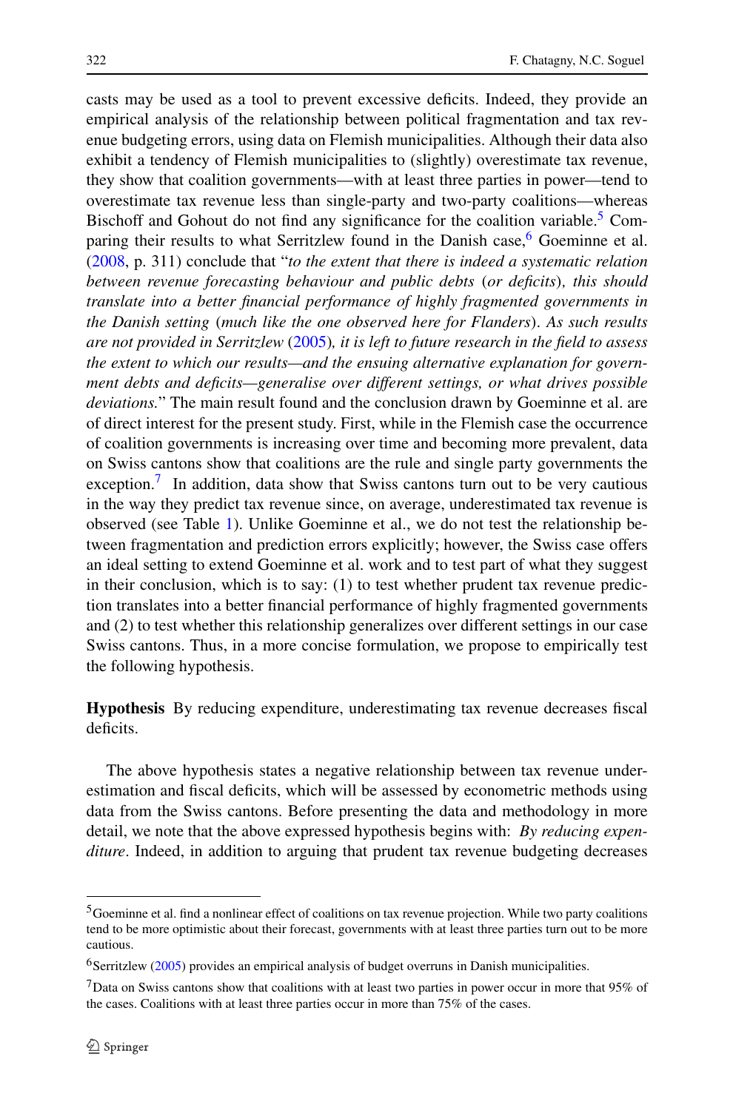casts may be used as a tool to prevent excessive deficits. Indeed, they provide an empirical analysis of the relationship between political fragmentation and tax revenue budgeting errors, using data on Flemish municipalities. Although their data also exhibit a tendency of Flemish municipalities to (slightly) overestimate tax revenue, they show that coalition governments—with at least three parties in power—tend to overestimate tax revenue less than single-party and two-party coalitions—whereas Bischoff and Gohout do not find any significance for the coalition variable.<sup>5</sup> Comparing their results to what Serritzlew found in the Danish case,<sup>6</sup> Goeminne et al. [\(2008](#page-18-0), p. 311) conclude that "*to the extent that there is indeed a systematic relation between revenue forecasting behaviour and public debts (or deficits), this should translate into a better financial performance of highly fragmented governments in the Danish setting (much like the one observed here for Flanders). As such results are not provided in Serritzlew* ([2005\)](#page-19-8)*, it is left to future research in the field to assess the extent to which our results—and the ensuing alternative explanation for government debts and deficits—generalise over different settings, or what drives possible deviations.*" The main result found and the conclusion drawn by Goeminne et al. are of direct interest for the present study. First, while in the Flemish case the occurrence of coalition governments is increasing over time and becoming more prevalent, data on Swiss cantons show that coalitions are the rule and single party governments the exception.<sup>[7](#page-4-2)</sup> In addition, data show that Swiss cantons turn out to be very cautious in the way they predict tax revenue since, on average, underestimated tax revenue is observed (see Table [1](#page-5-0)). Unlike Goeminne et al., we do not test the relationship between fragmentation and prediction errors explicitly; however, the Swiss case offers an ideal setting to extend Goeminne et al. work and to test part of what they suggest in their conclusion, which is to say: (1) to test whether prudent tax revenue prediction translates into a better financial performance of highly fragmented governments and (2) to test whether this relationship generalizes over different settings in our case Swiss cantons. Thus, in a more concise formulation, we propose to empirically test the following hypothesis.

**Hypothesis** By reducing expenditure, underestimating tax revenue decreases fiscal deficits.

<span id="page-4-2"></span><span id="page-4-1"></span><span id="page-4-0"></span>The above hypothesis states a negative relationship between tax revenue underestimation and fiscal deficits, which will be assessed by econometric methods using data from the Swiss cantons. Before presenting the data and methodology in more detail, we note that the above expressed hypothesis begins with: *By reducing expenditure*. Indeed, in addition to arguing that prudent tax revenue budgeting decreases

<sup>5</sup>Goeminne et al. find a nonlinear effect of coalitions on tax revenue projection. While two party coalitions tend to be more optimistic about their forecast, governments with at least three parties turn out to be more cautious.

 $6$ Serritzlew ([2005\)](#page-19-8) provides an empirical analysis of budget overruns in Danish municipalities.

<sup>7</sup>Data on Swiss cantons show that coalitions with at least two parties in power occur in more that 95% of the cases. Coalitions with at least three parties occur in more than 75% of the cases.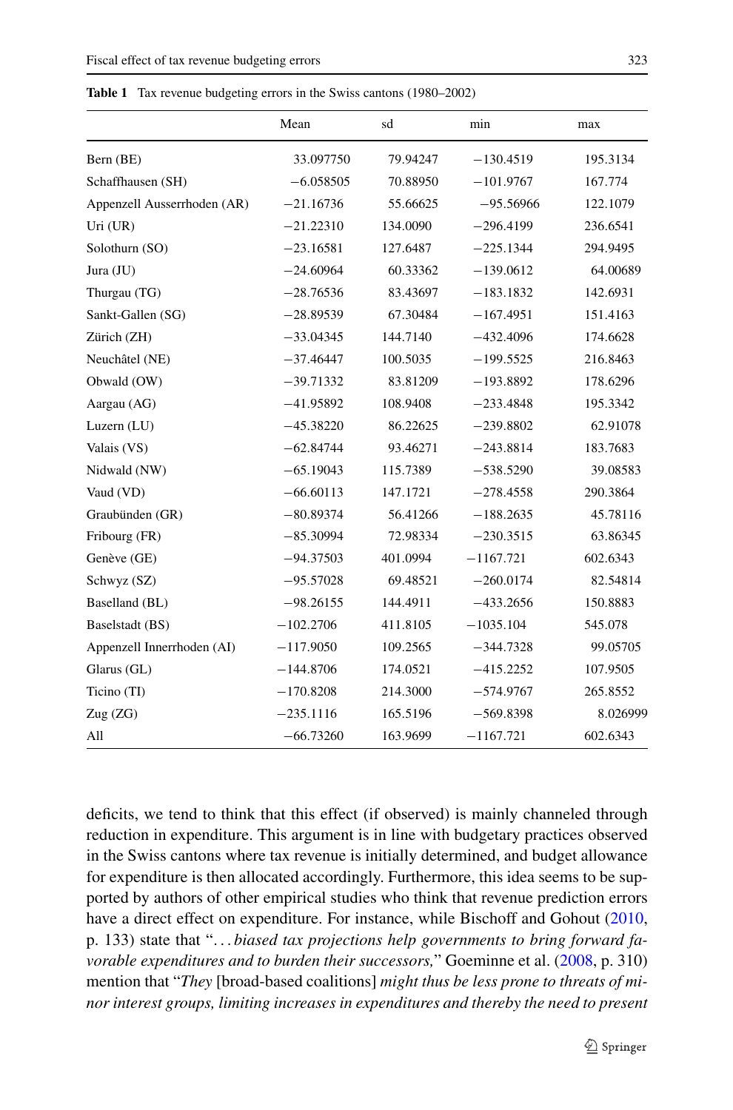|                             | Mean        | sd       | min         | max      |
|-----------------------------|-------------|----------|-------------|----------|
| Bern (BE)                   | 33.097750   | 79.94247 | $-130.4519$ | 195.3134 |
| Schaffhausen (SH)           | $-6.058505$ | 70.88950 | $-101.9767$ | 167.774  |
| Appenzell Ausserrhoden (AR) | $-21.16736$ | 55.66625 | $-95.56966$ | 122.1079 |
| Uri $(UR)$                  | $-21.22310$ | 134.0090 | $-296.4199$ | 236.6541 |
| Solothurn (SO)              | $-23.16581$ | 127.6487 | $-225.1344$ | 294.9495 |
| Jura (JU)                   | $-24.60964$ | 60.33362 | $-139.0612$ | 64.00689 |
| Thurgau (TG)                | $-28.76536$ | 83.43697 | $-183.1832$ | 142.6931 |
| Sankt-Gallen (SG)           | $-28.89539$ | 67.30484 | $-167.4951$ | 151.4163 |
| Zürich (ZH)                 | $-33.04345$ | 144.7140 | $-432.4096$ | 174.6628 |
| Neuchâtel (NE)              | $-37.46447$ | 100.5035 | $-199.5525$ | 216.8463 |
| Obwald (OW)                 | $-39.71332$ | 83.81209 | $-193.8892$ | 178.6296 |
| Aargau (AG)                 | $-41.95892$ | 108.9408 | $-233.4848$ | 195.3342 |
| Luzern (LU)                 | $-45.38220$ | 86.22625 | $-239.8802$ | 62.91078 |
| Valais (VS)                 | $-62.84744$ | 93.46271 | $-243.8814$ | 183.7683 |
| Nidwald (NW)                | $-65.19043$ | 115.7389 | $-538.5290$ | 39.08583 |
| Vaud (VD)                   | $-66.60113$ | 147.1721 | $-278.4558$ | 290.3864 |
| Graubünden (GR)             | $-80.89374$ | 56.41266 | $-188.2635$ | 45.78116 |
| Fribourg (FR)               | $-85.30994$ | 72.98334 | $-230.3515$ | 63.86345 |
| Genève (GE)                 | $-94.37503$ | 401.0994 | $-1167.721$ | 602.6343 |
| Schwyz (SZ)                 | $-95.57028$ | 69.48521 | $-260.0174$ | 82.54814 |
| Baselland (BL)              | $-98.26155$ | 144.4911 | $-433.2656$ | 150.8883 |
| Baselstadt (BS)             | $-102.2706$ | 411.8105 | $-1035.104$ | 545.078  |
| Appenzell Innerrhoden (AI)  | $-117.9050$ | 109.2565 | $-344.7328$ | 99.05705 |
| Glarus (GL)                 | $-144.8706$ | 174.0521 | $-415.2252$ | 107.9505 |
| Ticino (TI)                 | $-170.8208$ | 214.3000 | $-574.9767$ | 265.8552 |
| $Zug$ ( $ZG$ )              | $-235.1116$ | 165.5196 | $-569.8398$ | 8.026999 |
| All                         | $-66.73260$ | 163.9699 | $-1167.721$ | 602.6343 |

<span id="page-5-0"></span>**Table 1** Tax revenue budgeting errors in the Swiss cantons (1980–2002)

deficits, we tend to think that this effect (if observed) is mainly channeled through reduction in expenditure. This argument is in line with budgetary practices observed in the Swiss cantons where tax revenue is initially determined, and budget allowance for expenditure is then allocated accordingly. Furthermore, this idea seems to be supported by authors of other empirical studies who think that revenue prediction errors have a direct effect on expenditure. For instance, while Bischoff and Gohout [\(2010](#page-18-2), p. 133) state that "*... biased tax projections help governments to bring forward favorable expenditures and to burden their successors,*" Goeminne et al. ([2008,](#page-18-0) p. 310) mention that "*They* [broad-based coalitions] *might thus be less prone to threats of minor interest groups, limiting increases in expenditures and thereby the need to present*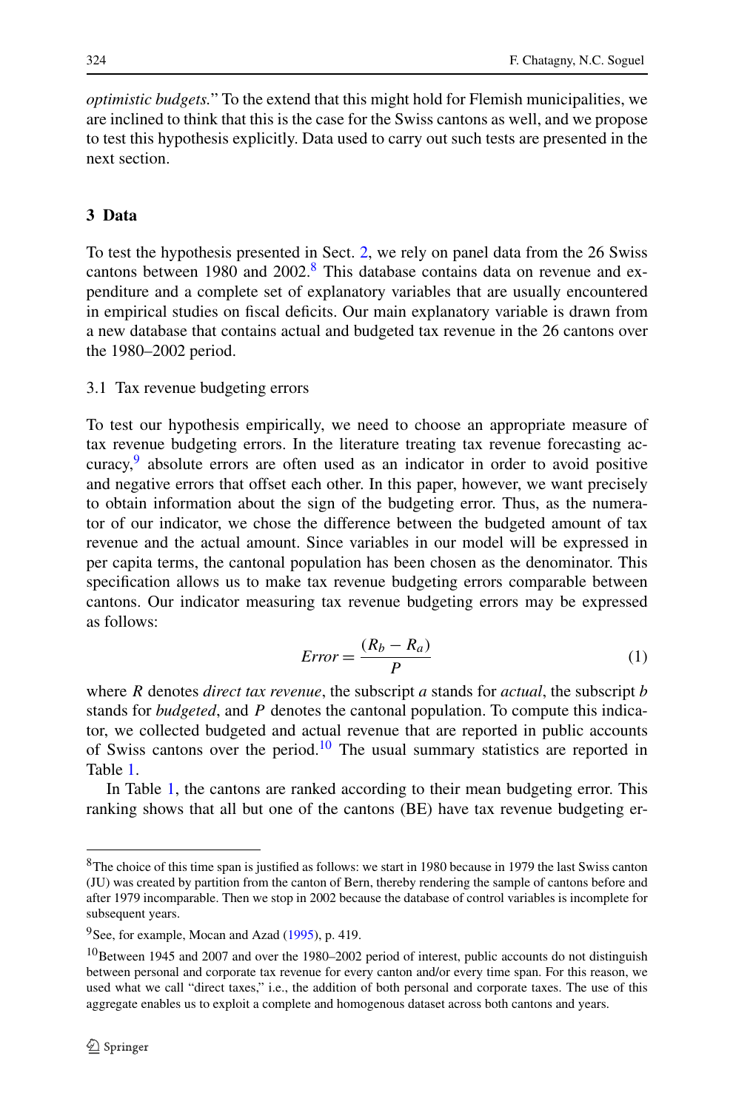<span id="page-6-0"></span>*optimistic budgets.*" To the extend that this might hold for Flemish municipalities, we are inclined to think that this is the case for the Swiss cantons as well, and we propose to test this hypothesis explicitly. Data used to carry out such tests are presented in the next section.

## **3 Data**

To test the hypothesis presented in Sect. [2,](#page-2-2) we rely on panel data from the 26 Swiss cantons between 1980 and  $2002<sup>8</sup>$ . This database contains data on revenue and expenditure and a complete set of explanatory variables that are usually encountered in empirical studies on fiscal deficits. Our main explanatory variable is drawn from a new database that contains actual and budgeted tax revenue in the 26 cantons over the 1980–2002 period.

#### 3.1 Tax revenue budgeting errors

To test our hypothesis empirically, we need to choose an appropriate measure of tax revenue budgeting errors. In the literature treating tax revenue forecasting accuracy, $9$  absolute errors are often used as an indicator in order to avoid positive and negative errors that offset each other. In this paper, however, we want precisely to obtain information about the sign of the budgeting error. Thus, as the numerator of our indicator, we chose the difference between the budgeted amount of tax revenue and the actual amount. Since variables in our model will be expressed in per capita terms, the cantonal population has been chosen as the denominator. This specification allows us to make tax revenue budgeting errors comparable between cantons. Our indicator measuring tax revenue budgeting errors may be expressed as follows:

$$
Error = \frac{(R_b - R_a)}{P} \tag{1}
$$

<span id="page-6-1"></span>where *R* denotes *direct tax revenue*, the subscript *a* stands for *actual*, the subscript *b* stands for *budgeted*, and *P* denotes the cantonal population. To compute this indicator, we collected budgeted and actual revenue that are reported in public accounts of Swiss cantons over the period.<sup>10</sup> The usual summary statistics are reported in Table [1](#page-5-0).

<span id="page-6-3"></span><span id="page-6-2"></span>In Table [1](#page-5-0), the cantons are ranked according to their mean budgeting error. This ranking shows that all but one of the cantons (BE) have tax revenue budgeting er-

<sup>&</sup>lt;sup>8</sup>The choice of this time span is justified as follows: we start in 1980 because in 1979 the last Swiss canton (JU) was created by partition from the canton of Bern, thereby rendering the sample of cantons before and after 1979 incomparable. Then we stop in 2002 because the database of control variables is incomplete for subsequent years.

<sup>&</sup>lt;sup>9</sup>See, for example, Mocan and Azad [\(1995](#page-19-3)), p. 419.

<sup>&</sup>lt;sup>10</sup>Between 1945 and 2007 and over the 1980–2002 period of interest, public accounts do not distinguish between personal and corporate tax revenue for every canton and/or every time span. For this reason, we used what we call "direct taxes," i.e., the addition of both personal and corporate taxes. The use of this aggregate enables us to exploit a complete and homogenous dataset across both cantons and years.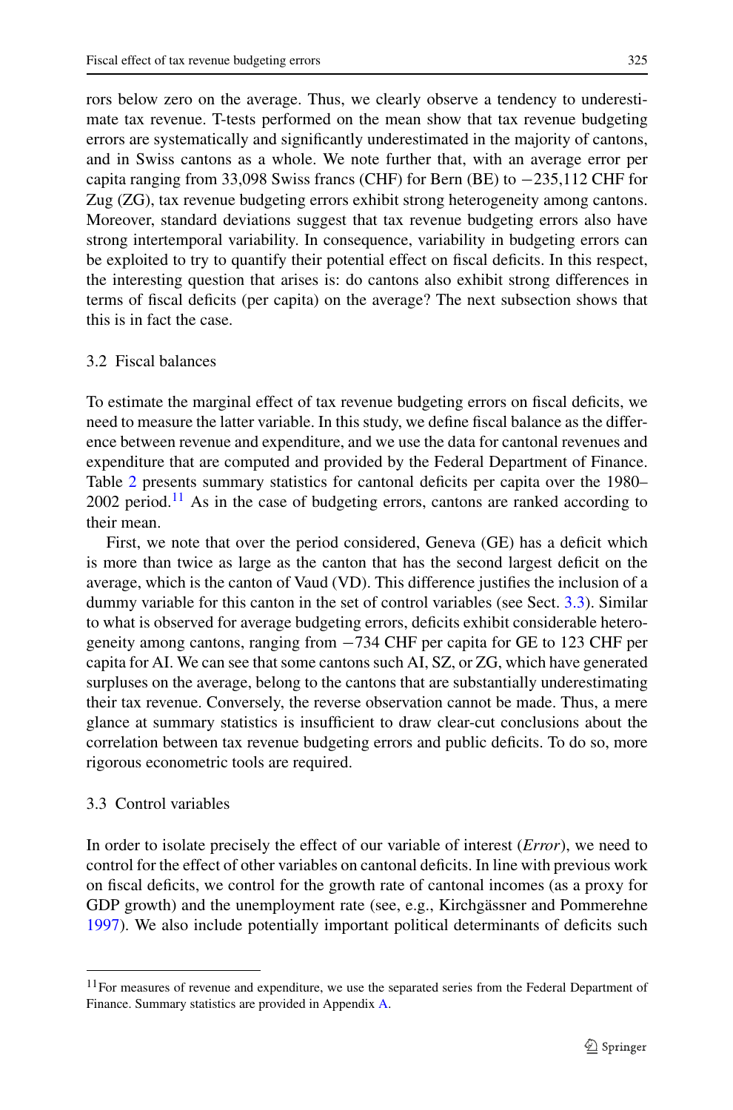rors below zero on the average. Thus, we clearly observe a tendency to underestimate tax revenue. T-tests performed on the mean show that tax revenue budgeting errors are systematically and significantly underestimated in the majority of cantons, and in Swiss cantons as a whole. We note further that, with an average error per capita ranging from 33,098 Swiss francs (CHF) for Bern (BE) to −235,112 CHF for Zug (ZG), tax revenue budgeting errors exhibit strong heterogeneity among cantons. Moreover, standard deviations suggest that tax revenue budgeting errors also have strong intertemporal variability. In consequence, variability in budgeting errors can be exploited to try to quantify their potential effect on fiscal deficits. In this respect, the interesting question that arises is: do cantons also exhibit strong differences in terms of fiscal deficits (per capita) on the average? The next subsection shows that this is in fact the case.

#### 3.2 Fiscal balances

To estimate the marginal effect of tax revenue budgeting errors on fiscal deficits, we need to measure the latter variable. In this study, we define fiscal balance as the difference between revenue and expenditure, and we use the data for cantonal revenues and expenditure that are computed and provided by the Federal Department of Finance. Table [2](#page-8-0) presents summary statistics for cantonal deficits per capita over the 1980– 2002 period.<sup>[11](#page-7-0)</sup> As in the case of budgeting errors, cantons are ranked according to their mean.

First, we note that over the period considered, Geneva (GE) has a deficit which is more than twice as large as the canton that has the second largest deficit on the average, which is the canton of Vaud (VD). This difference justifies the inclusion of a dummy variable for this canton in the set of control variables (see Sect. [3.3\)](#page-7-1). Similar to what is observed for average budgeting errors, deficits exhibit considerable heterogeneity among cantons, ranging from −734 CHF per capita for GE to 123 CHF per capita for AI. We can see that some cantons such AI, SZ, or ZG, which have generated surpluses on the average, belong to the cantons that are substantially underestimating their tax revenue. Conversely, the reverse observation cannot be made. Thus, a mere glance at summary statistics is insufficient to draw clear-cut conclusions about the correlation between tax revenue budgeting errors and public deficits. To do so, more rigorous econometric tools are required.

#### <span id="page-7-1"></span>3.3 Control variables

<span id="page-7-0"></span>In order to isolate precisely the effect of our variable of interest (*Error*), we need to control for the effect of other variables on cantonal deficits. In line with previous work on fiscal deficits, we control for the growth rate of cantonal incomes (as a proxy for GDP growth) and the unemployment rate (see, e.g., Kirchgässner and Pommerehne [1997\)](#page-18-8). We also include potentially important political determinants of deficits such

<sup>&</sup>lt;sup>11</sup> For measures of revenue and expenditure, we use the separated series from the Federal Department of Finance. Summary statistics are provided in Appendix [A.](#page-16-0)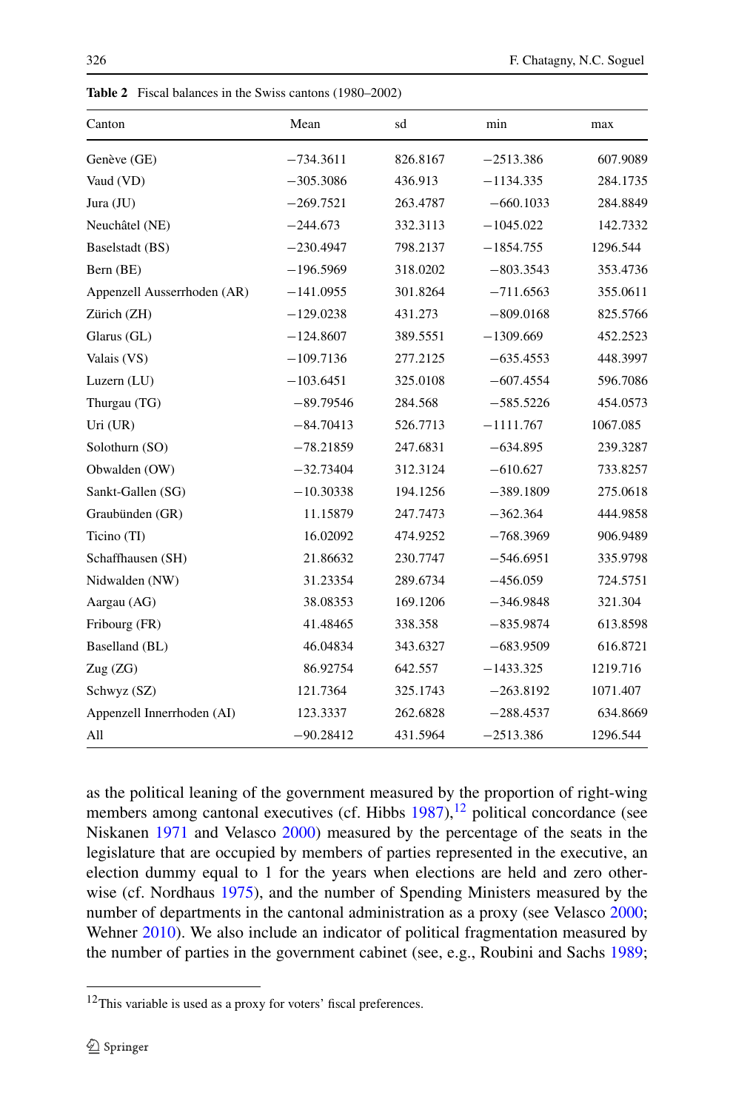| Canton                      | Mean        | sd       | min         | max      |
|-----------------------------|-------------|----------|-------------|----------|
| Genève (GE)                 | $-734.3611$ | 826.8167 | $-2513.386$ | 607.9089 |
| Vaud (VD)                   | $-305.3086$ | 436.913  | $-1134.335$ | 284.1735 |
| Jura (JU)                   | $-269.7521$ | 263.4787 | $-660.1033$ | 284.8849 |
| Neuchâtel (NE)              | $-244.673$  | 332.3113 | $-1045.022$ | 142.7332 |
| Baselstadt (BS)             | $-230.4947$ | 798.2137 | $-1854.755$ | 1296.544 |
| Bern (BE)                   | $-196.5969$ | 318.0202 | $-803.3543$ | 353.4736 |
| Appenzell Ausserrhoden (AR) | $-141.0955$ | 301.8264 | $-711.6563$ | 355.0611 |
| Zürich (ZH)                 | $-129.0238$ | 431.273  | $-809.0168$ | 825.5766 |
| Glarus (GL)                 | $-124.8607$ | 389.5551 | $-1309.669$ | 452.2523 |
| Valais (VS)                 | $-109.7136$ | 277.2125 | $-635.4553$ | 448.3997 |
| Luzern $(LU)$               | $-103.6451$ | 325.0108 | $-607.4554$ | 596.7086 |
| Thurgau (TG)                | $-89.79546$ | 284.568  | $-585.5226$ | 454.0573 |
| Uri $(UR)$                  | $-84.70413$ | 526.7713 | $-1111.767$ | 1067.085 |
| Solothurn (SO)              | $-78.21859$ | 247.6831 | $-634.895$  | 239.3287 |
| Obwalden (OW)               | $-32.73404$ | 312.3124 | $-610.627$  | 733.8257 |
| Sankt-Gallen (SG)           | $-10.30338$ | 194.1256 | $-389.1809$ | 275.0618 |
| Graubünden (GR)             | 11.15879    | 247.7473 | $-362.364$  | 444.9858 |
| Ticino (TI)                 | 16.02092    | 474.9252 | $-768.3969$ | 906.9489 |
| Schaffhausen (SH)           | 21.86632    | 230.7747 | $-546.6951$ | 335.9798 |
| Nidwalden (NW)              | 31.23354    | 289.6734 | $-456.059$  | 724.5751 |
| Aargau (AG)                 | 38.08353    | 169.1206 | $-346.9848$ | 321.304  |
| Fribourg (FR)               | 41.48465    | 338.358  | $-835.9874$ | 613.8598 |
| Baselland (BL)              | 46.04834    | 343.6327 | $-683.9509$ | 616.8721 |
| $Zug$ ( $ZG$ )              | 86.92754    | 642.557  | $-1433.325$ | 1219.716 |
| Schwyz (SZ)                 | 121.7364    | 325.1743 | $-263.8192$ | 1071.407 |
| Appenzell Innerrhoden (AI)  | 123.3337    | 262.6828 | $-288.4537$ | 634.8669 |
| All                         | $-90.28412$ | 431.5964 | $-2513.386$ | 1296.544 |

<span id="page-8-0"></span>**Table 2** Fiscal balances in the Swiss cantons (1980–2002)

<span id="page-8-1"></span>as the political leaning of the government measured by the proportion of right-wing members among cantonal executives (cf. Hibbs  $1987$ ),<sup>12</sup> political concordance (see Niskanen [1971](#page-19-9) and Velasco [2000](#page-19-10)) measured by the percentage of the seats in the legislature that are occupied by members of parties represented in the executive, an election dummy equal to 1 for the years when elections are held and zero otherwise (cf. Nordhaus [1975](#page-19-5)), and the number of Spending Ministers measured by the number of departments in the cantonal administration as a proxy (see Velasco [2000;](#page-19-10) Wehner [2010](#page-19-11)). We also include an indicator of political fragmentation measured by the number of parties in the government cabinet (see, e.g., Roubini and Sachs [1989;](#page-19-7)

<sup>&</sup>lt;sup>12</sup>This variable is used as a proxy for voters' fiscal preferences.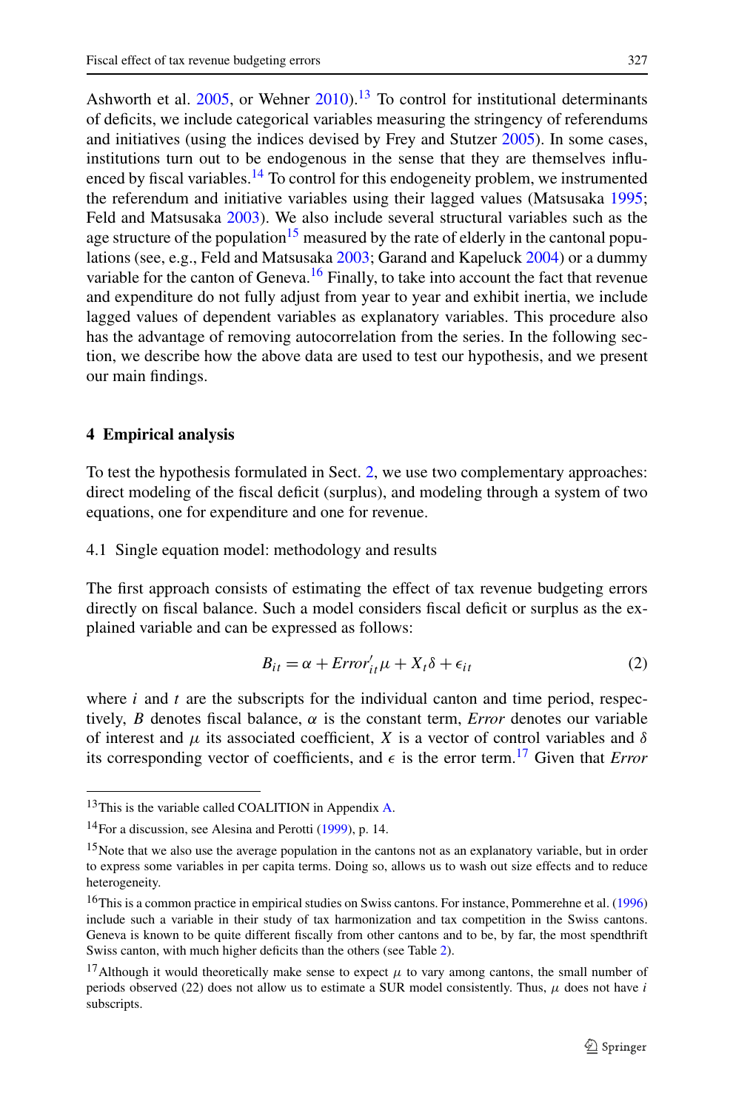Ashworth et al.  $2005$ , or Wehner  $2010$ .<sup>[13](#page-9-1)</sup> To control for institutional determinants of deficits, we include categorical variables measuring the stringency of referendums and initiatives (using the indices devised by Frey and Stutzer [2005\)](#page-18-10). In some cases, institutions turn out to be endogenous in the sense that they are themselves influenced by fiscal variables. $<sup>14</sup>$  $<sup>14</sup>$  $<sup>14</sup>$  To control for this endogeneity problem, we instrumented</sup> the referendum and initiative variables using their lagged values (Matsusaka [1995;](#page-19-12) Feld and Matsusaka [2003\)](#page-18-11). We also include several structural variables such as the age structure of the population<sup>[15](#page-9-3)</sup> measured by the rate of elderly in the cantonal populations (see, e.g., Feld and Matsusaka [2003;](#page-18-11) Garand and Kapeluck [2004](#page-18-12)) or a dummy variable for the canton of Geneva.<sup>16</sup> Finally, to take into account the fact that revenue and expenditure do not fully adjust from year to year and exhibit inertia, we include lagged values of dependent variables as explanatory variables. This procedure also has the advantage of removing autocorrelation from the series. In the following section, we describe how the above data are used to test our hypothesis, and we present our main findings.

#### <span id="page-9-0"></span>**4 Empirical analysis**

To test the hypothesis formulated in Sect. [2](#page-2-2), we use two complementary approaches: direct modeling of the fiscal deficit (surplus), and modeling through a system of two equations, one for expenditure and one for revenue.

#### 4.1 Single equation model: methodology and results

The first approach consists of estimating the effect of tax revenue budgeting errors directly on fiscal balance. Such a model considers fiscal deficit or surplus as the explained variable and can be expressed as follows:

$$
B_{it} = \alpha + Error'_{it} \mu + X_t \delta + \epsilon_{it}
$$
 (2)

<span id="page-9-4"></span><span id="page-9-3"></span><span id="page-9-2"></span><span id="page-9-1"></span>where *i* and *t* are the subscripts for the individual canton and time period, respectively, *B* denotes fiscal balance,  $\alpha$  is the constant term, *Error* denotes our variable of interest and  $\mu$  its associated coefficient, *X* is a vector of control variables and  $\delta$ its corresponding vector of coefficients, and  $\epsilon$  is the error term.<sup>[17](#page-9-5)</sup> Given that *Error* 

 $13$ This is the variable called CO[A](#page-16-0)LITION in Appendix A.

<span id="page-9-5"></span><sup>&</sup>lt;sup>14</sup>For a discussion, see Alesina and Perotti ([1999\)](#page-18-1), p. 14.

<sup>&</sup>lt;sup>15</sup>Note that we also use the average population in the cantons not as an explanatory variable, but in order to express some variables in per capita terms. Doing so, allows us to wash out size effects and to reduce heterogeneity.

<sup>&</sup>lt;sup>16</sup>This is a common practice in empirical studies on Swiss cantons. For instance, Pommerehne et al. ([1996\)](#page-19-13) include such a variable in their study of tax harmonization and tax competition in the Swiss cantons. Geneva is known to be quite different fiscally from other cantons and to be, by far, the most spendthrift Swiss canton, with much higher deficits than the others (see Table [2](#page-8-0)).

<sup>&</sup>lt;sup>17</sup>Although it would theoretically make sense to expect  $\mu$  to vary among cantons, the small number of periods observed (22) does not allow us to estimate a SUR model consistently. Thus, *μ* does not have *i* subscripts.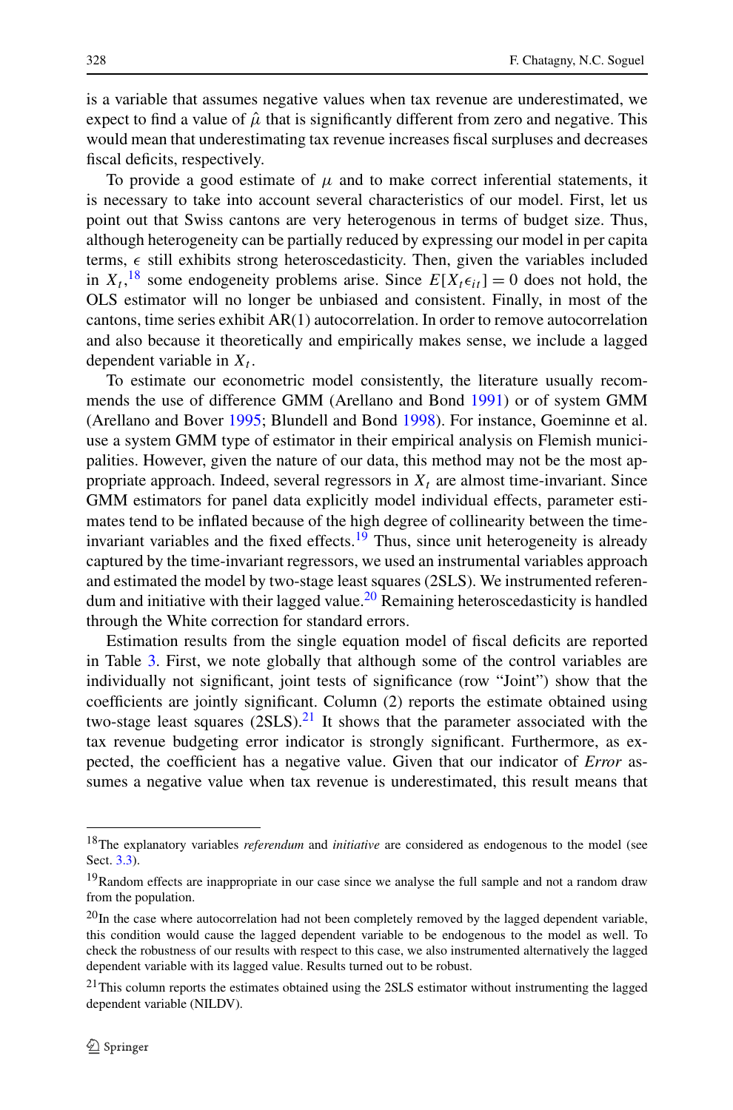is a variable that assumes negative values when tax revenue are underestimated, we expect to find a value of  $\hat{\mu}$  that is significantly different from zero and negative. This would mean that underestimating tax revenue increases fiscal surpluses and decreases fiscal deficits, respectively.

To provide a good estimate of  $\mu$  and to make correct inferential statements, it is necessary to take into account several characteristics of our model. First, let us point out that Swiss cantons are very heterogenous in terms of budget size. Thus, although heterogeneity can be partially reduced by expressing our model in per capita terms,  $\epsilon$  still exhibits strong heteroscedasticity. Then, given the variables included in  $X_t$ , <sup>[18](#page-10-0)</sup> some endogeneity problems arise. Since  $E[X_t \epsilon_{it}] = 0$  does not hold, the OLS estimator will no longer be unbiased and consistent. Finally, in most of the cantons, time series exhibit AR(1) autocorrelation. In order to remove autocorrelation and also because it theoretically and empirically makes sense, we include a lagged dependent variable in  $X_t$ .

To estimate our econometric model consistently, the literature usually recommends the use of difference GMM (Arellano and Bond [1991](#page-18-13)) or of system GMM (Arellano and Bover [1995;](#page-18-14) Blundell and Bond [1998](#page-18-15)). For instance, Goeminne et al. use a system GMM type of estimator in their empirical analysis on Flemish municipalities. However, given the nature of our data, this method may not be the most appropriate approach. Indeed, several regressors in  $X_t$  are almost time-invariant. Since GMM estimators for panel data explicitly model individual effects, parameter estimates tend to be inflated because of the high degree of collinearity between the timeinvariant variables and the fixed effects. $19$  Thus, since unit heterogeneity is already captured by the time-invariant regressors, we used an instrumental variables approach and estimated the model by two-stage least squares (2SLS). We instrumented referendum and initiative with their lagged value.<sup>20</sup> Remaining heteroscedasticity is handled through the White correction for standard errors.

<span id="page-10-1"></span><span id="page-10-0"></span>Estimation results from the single equation model of fiscal deficits are reported in Table [3.](#page-11-0) First, we note globally that although some of the control variables are individually not significant, joint tests of significance (row "Joint") show that the coefficients are jointly significant. Column (2) reports the estimate obtained using two-stage least squares  $(2SLS).<sup>21</sup>$  It shows that the parameter associated with the tax revenue budgeting error indicator is strongly significant. Furthermore, as expected, the coefficient has a negative value. Given that our indicator of *Error* assumes a negative value when tax revenue is underestimated, this result means that

<span id="page-10-3"></span><span id="page-10-2"></span><sup>18</sup>The explanatory variables *referendum* and *initiative* are considered as endogenous to the model (see Sect. [3.3](#page-7-1)).

<sup>&</sup>lt;sup>19</sup>Random effects are inappropriate in our case since we analyse the full sample and not a random draw from the population.

 $^{20}$ In the case where autocorrelation had not been completely removed by the lagged dependent variable, this condition would cause the lagged dependent variable to be endogenous to the model as well. To check the robustness of our results with respect to this case, we also instrumented alternatively the lagged dependent variable with its lagged value. Results turned out to be robust.

<sup>&</sup>lt;sup>21</sup>This column reports the estimates obtained using the 2SLS estimator without instrumenting the lagged dependent variable (NILDV).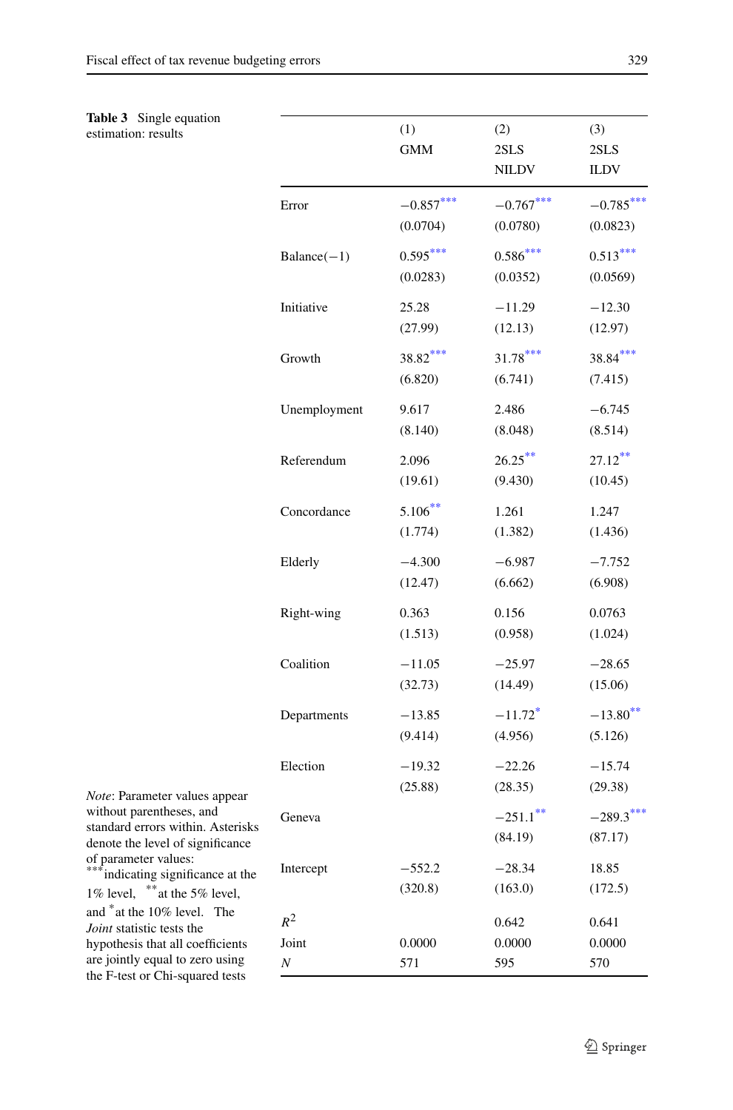<span id="page-11-3"></span><span id="page-11-2"></span><span id="page-11-1"></span><span id="page-11-0"></span>

| Table 3 Single equation<br>estimation: results                                                                                                                                                                                                            |                            | (1)<br><b>GMM</b>       | (2)<br>2SLS<br><b>NILDV</b>      | (3)<br>2SLS<br><b>ILDV</b> |
|-----------------------------------------------------------------------------------------------------------------------------------------------------------------------------------------------------------------------------------------------------------|----------------------------|-------------------------|----------------------------------|----------------------------|
|                                                                                                                                                                                                                                                           | Error                      | $-0.857***$<br>(0.0704) | $-0.767***$<br>(0.0780)          | $-0.785***$<br>(0.0823)    |
|                                                                                                                                                                                                                                                           | $Balance(-1)$              | $0.595***$<br>(0.0283)  | $0.586***$<br>(0.0352)           | $0.513***$<br>(0.0569)     |
|                                                                                                                                                                                                                                                           | Initiative                 | 25.28<br>(27.99)        | $-11.29$<br>(12.13)              | $-12.30$<br>(12.97)        |
|                                                                                                                                                                                                                                                           | Growth                     | $38.82***$<br>(6.820)   | $31.78***$<br>(6.741)            | $38.84***$<br>(7.415)      |
|                                                                                                                                                                                                                                                           | Unemployment               | 9.617<br>(8.140)        | 2.486<br>(8.048)                 | $-6.745$<br>(8.514)        |
|                                                                                                                                                                                                                                                           | Referendum                 | 2.096<br>(19.61)        | $26.25***$<br>(9.430)            | $27.12***$<br>(10.45)      |
|                                                                                                                                                                                                                                                           | Concordance                | $5.106***$<br>(1.774)   | 1.261<br>(1.382)                 | 1.247<br>(1.436)           |
|                                                                                                                                                                                                                                                           | Elderly                    | $-4.300$<br>(12.47)     | $-6.987$<br>(6.662)              | $-7.752$<br>(6.908)        |
|                                                                                                                                                                                                                                                           | Right-wing                 | 0.363<br>(1.513)        | 0.156<br>(0.958)                 | 0.0763<br>(1.024)          |
|                                                                                                                                                                                                                                                           | Coalition                  | $-11.05$<br>(32.73)     | $-25.97$<br>(14.49)              | $-28.65$<br>(15.06)        |
|                                                                                                                                                                                                                                                           | Departments                | $-13.85$<br>(9.414)     | $-11.72$ <sup>*</sup><br>(4.956) | $-13.80$ **<br>(5.126)     |
| Note: Parameter values appear<br>without parentheses, and<br>standard errors within. Asterisks<br>denote the level of significance<br>% of parameter values:<br>*** indication similar<br>indicating significance at the<br>1% level, ** at the 5% level, | Election                   | $-19.32$<br>(25.88)     | $-22.26$<br>(28.35)              | $-15.74$<br>(29.38)        |
|                                                                                                                                                                                                                                                           | Geneva                     |                         | $-251.1$ **<br>(84.19)           | $-289.3***$<br>(87.17)     |
|                                                                                                                                                                                                                                                           | Intercept                  | $-552.2$<br>(320.8)     | $-28.34$<br>(163.0)              | 18.85<br>(172.5)           |
| and $*$ at the 10% level. The<br>Joint statistic tests the<br>hypothesis that all coefficients<br>are jointly equal to zero using<br>the F-test or Chi-squared tests                                                                                      | $R^2$<br>Joint<br>$\cal N$ | 0.0000<br>571           | 0.642<br>0.0000<br>595           | 0.641<br>0.0000<br>570     |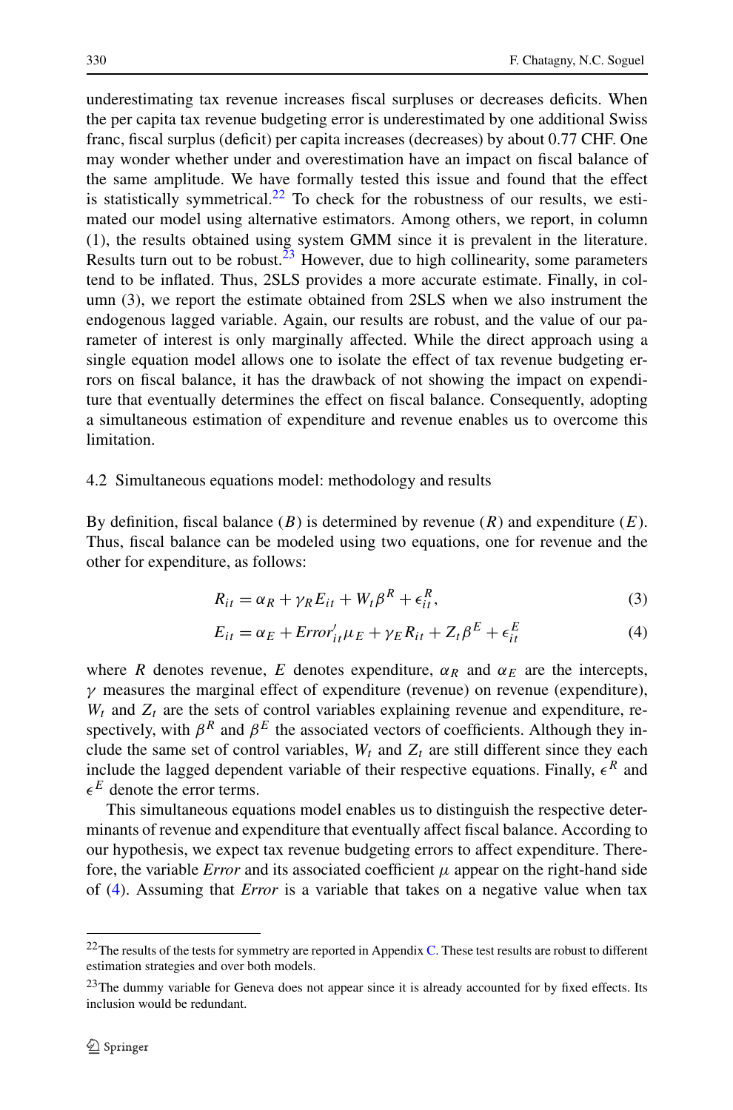underestimating tax revenue increases fiscal surpluses or decreases deficits. When the per capita tax revenue budgeting error is underestimated by one additional Swiss franc, fiscal surplus (deficit) per capita increases (decreases) by about 0.77 CHF. One may wonder whether under and overestimation have an impact on fiscal balance of the same amplitude. We have formally tested this issue and found that the effect is statistically symmetrical.<sup>22</sup> To check for the robustness of our results, we estimated our model using alternative estimators. Among others, we report, in column (1), the results obtained using system GMM since it is prevalent in the literature. Results turn out to be robust.<sup>23</sup> However, due to high collinearity, some parameters tend to be inflated. Thus, 2SLS provides a more accurate estimate. Finally, in column (3), we report the estimate obtained from 2SLS when we also instrument the endogenous lagged variable. Again, our results are robust, and the value of our parameter of interest is only marginally affected. While the direct approach using a single equation model allows one to isolate the effect of tax revenue budgeting errors on fiscal balance, it has the drawback of not showing the impact on expenditure that eventually determines the effect on fiscal balance. Consequently, adopting a simultaneous estimation of expenditure and revenue enables us to overcome this limitation.

#### 4.2 Simultaneous equations model: methodology and results

By definition, fiscal balance (*B*) is determined by revenue (*R*) and expenditure (*E*). Thus, fiscal balance can be modeled using two equations, one for revenue and the other for expenditure, as follows:

<span id="page-12-2"></span>
$$
R_{it} = \alpha_R + \gamma_R E_{it} + W_t \beta^R + \epsilon_{it}^R,
$$
\n(3)

$$
E_{it} = \alpha_E + Error'_{it} \mu_E + \gamma_E R_{it} + Z_t \beta^E + \epsilon^E_{it}
$$
 (4)

where *R* denotes revenue, *E* denotes expenditure,  $\alpha_R$  and  $\alpha_E$  are the intercepts, *γ* measures the marginal effect of expenditure (revenue) on revenue (expenditure),  $W_t$  and  $Z_t$  are the sets of control variables explaining revenue and expenditure, respectively, with  $\beta^R$  and  $\beta^E$  the associated vectors of coefficients. Although they include the same set of control variables,  $W_t$  and  $Z_t$  are still different since they each include the lagged dependent variable of their respective equations. Finally,  $\epsilon^R$  and  $\epsilon^E$  denote the error terms.

<span id="page-12-1"></span><span id="page-12-0"></span>This simultaneous equations model enables us to distinguish the respective determinants of revenue and expenditure that eventually affect fiscal balance. According to our hypothesis, we expect tax revenue budgeting errors to affect expenditure. Therefore, the variable *Error* and its associated coefficient  $\mu$  appear on the right-hand side of [\(4](#page-12-2)). Assuming that *Error* is a variable that takes on a negative value when tax

<sup>&</sup>lt;sup>22</sup>The results of the tests for symmetry are reported in Appendix [C](#page-18-16). These test results are robust to different estimation strategies and over both models.

<sup>&</sup>lt;sup>23</sup>The dummy variable for Geneva does not appear since it is already accounted for by fixed effects. Its inclusion would be redundant.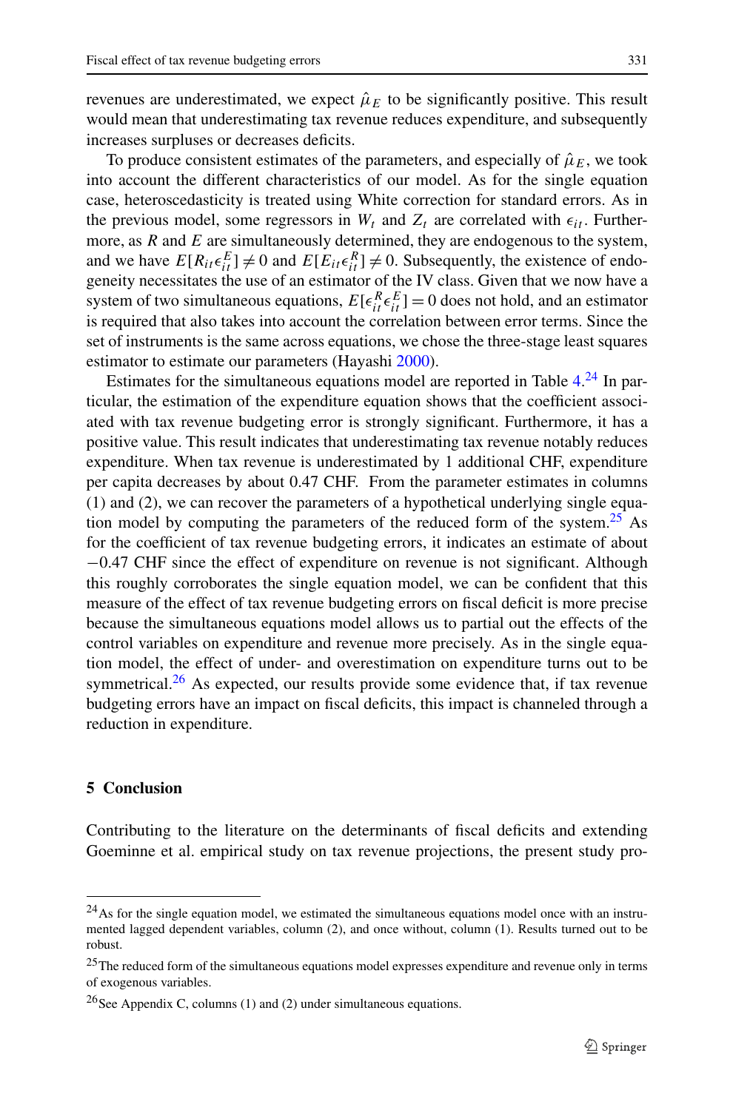revenues are underestimated, we expect  $\hat{\mu}_E$  to be significantly positive. This result would mean that underestimating tax revenue reduces expenditure, and subsequently increases surpluses or decreases deficits.

To produce consistent estimates of the parameters, and especially of  $\hat{\mu}_E$ , we took into account the different characteristics of our model. As for the single equation case, heteroscedasticity is treated using White correction for standard errors. As in the previous model, some regressors in  $W_t$  and  $Z_t$  are correlated with  $\epsilon_{it}$ . Furthermore, as *R* and *E* are simultaneously determined, they are endogenous to the system, and we have  $E[R_{it} \epsilon_{it}^E] \neq 0$  and  $E[E_{it} \epsilon_{it}^R] \neq 0$ . Subsequently, the existence of endogeneity necessitates the use of an estimator of the IV class. Given that we now have a system of two simultaneous equations,  $E[\epsilon_{it}^R \epsilon_{it}^E] = 0$  does not hold, and an estimator is required that also takes into account the correlation between error terms. Since the set of instruments is the same across equations, we chose the three-stage least squares estimator to estimate our parameters (Hayashi [2000\)](#page-18-17).

Estimates for the simultaneous equations model are reported in Table [4.](#page-14-0)<sup>[24](#page-13-1)</sup> In particular, the estimation of the expenditure equation shows that the coefficient associated with tax revenue budgeting error is strongly significant. Furthermore, it has a positive value. This result indicates that underestimating tax revenue notably reduces expenditure. When tax revenue is underestimated by 1 additional CHF, expenditure per capita decreases by about 0.47 CHF. From the parameter estimates in columns (1) and (2), we can recover the parameters of a hypothetical underlying single equa-tion model by computing the parameters of the reduced form of the system.<sup>[25](#page-13-2)</sup> As for the coefficient of tax revenue budgeting errors, it indicates an estimate of about −0.47 CHF since the effect of expenditure on revenue is not significant. Although this roughly corroborates the single equation model, we can be confident that this measure of the effect of tax revenue budgeting errors on fiscal deficit is more precise because the simultaneous equations model allows us to partial out the effects of the control variables on expenditure and revenue more precisely. As in the single equation model, the effect of under- and overestimation on expenditure turns out to be symmetrical. $26$  As expected, our results provide some evidence that, if tax revenue budgeting errors have an impact on fiscal deficits, this impact is channeled through a reduction in expenditure.

#### <span id="page-13-1"></span><span id="page-13-0"></span>**5 Conclusion**

<span id="page-13-3"></span><span id="page-13-2"></span>Contributing to the literature on the determinants of fiscal deficits and extending Goeminne et al. empirical study on tax revenue projections, the present study pro-

 $24$ As for the single equation model, we estimated the simultaneous equations model once with an instrumented lagged dependent variables, column (2), and once without, column (1). Results turned out to be robust.

<sup>&</sup>lt;sup>25</sup>The reduced form of the simultaneous equations model expresses expenditure and revenue only in terms of exogenous variables.

<sup>&</sup>lt;sup>26</sup>See Appendix C, columns (1) and (2) under simultaneous equations.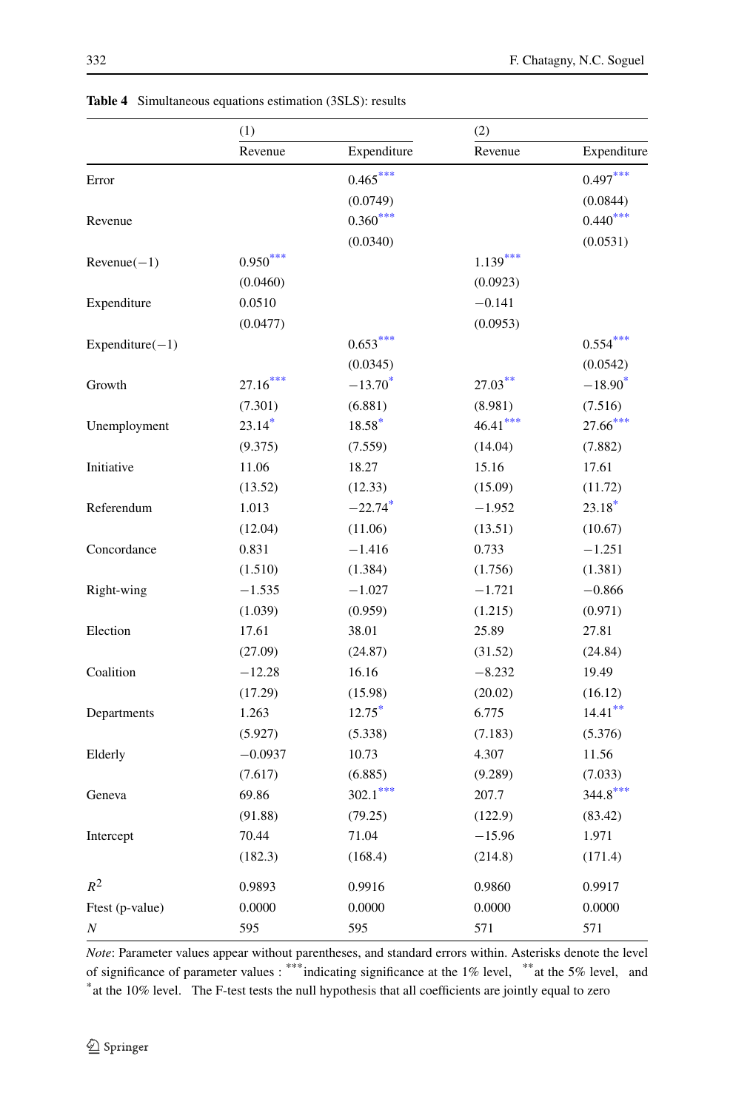|                   | (1)        |             | (2)        |             |
|-------------------|------------|-------------|------------|-------------|
|                   | Revenue    | Expenditure | Revenue    | Expenditure |
| Error             |            | $0.465***$  |            | $0.497***$  |
|                   |            | (0.0749)    |            | (0.0844)    |
| Revenue           |            | $0.360***$  |            | $0.440***$  |
|                   |            | (0.0340)    |            | (0.0531)    |
| $Revenue(-1)$     | $0.950***$ |             | $1.139***$ |             |
|                   | (0.0460)   |             | (0.0923)   |             |
| Expenditure       | 0.0510     |             | $-0.141$   |             |
|                   | (0.0477)   |             | (0.0953)   |             |
| $Expenditure(-1)$ |            | $0.653***$  |            | $0.554***$  |
|                   |            | (0.0345)    |            | (0.0542)    |
| Growth            | $27.16***$ | $-13.70*$   | $27.03***$ | $-18.90*$   |
|                   | (7.301)    | (6.881)     | (8.981)    | (7.516)     |
| Unemployment      | $23.14*$   | 18.58*      | $46.41***$ | $27.66***$  |
|                   | (9.375)    | (7.559)     | (14.04)    | (7.882)     |
| Initiative        | 11.06      | 18.27       | 15.16      | 17.61       |
|                   | (13.52)    | (12.33)     | (15.09)    | (11.72)     |
| Referendum        | 1.013      | $-22.74$ *  | $-1.952$   | $23.18*$    |
|                   | (12.04)    | (11.06)     | (13.51)    | (10.67)     |
| Concordance       | 0.831      | $-1.416$    | 0.733      | $-1.251$    |
|                   | (1.510)    | (1.384)     | (1.756)    | (1.381)     |
| Right-wing        | $-1.535$   | $-1.027$    | $-1.721$   | $-0.866$    |
|                   | (1.039)    | (0.959)     | (1.215)    | (0.971)     |
| Election          | 17.61      | 38.01       | 25.89      | 27.81       |
|                   | (27.09)    | (24.87)     | (31.52)    | (24.84)     |
| Coalition         | $-12.28$   | 16.16       | $-8.232$   | 19.49       |
|                   | (17.29)    | (15.98)     | (20.02)    | (16.12)     |
| Departments       | 1.263      | $12.75*$    | 6.775      | $14.41***$  |
|                   | (5.927)    | (5.338)     | (7.183)    | (5.376)     |
| Elderly           | $-0.0937$  | 10.73       | 4.307      | 11.56       |
|                   | (7.617)    | (6.885)     | (9.289)    | (7.033)     |
| Geneva            | 69.86      | $302.1$ *** | 207.7      | $344.8$ *** |
|                   | (91.88)    | (79.25)     | (122.9)    | (83.42)     |
| Intercept         | 70.44      | 71.04       | $-15.96$   | 1.971       |
|                   | (182.3)    | (168.4)     | (214.8)    | (171.4)     |
| $R^2$             | 0.9893     | 0.9916      | 0.9860     | 0.9917      |
| Ftest (p-value)   | 0.0000     | 0.0000      | 0.0000     | 0.0000      |
| N                 | 595        | 595         | 571        | 571         |

<span id="page-14-0"></span>**Table 4** Simultaneous equations estimation (3SLS): results

<span id="page-14-3"></span><span id="page-14-2"></span><span id="page-14-1"></span>*Note*: Parameter values appear without parentheses, and standard errors within. Asterisks denote the level of significance of parameter values : \*\*\* indicating significance at the 1% level, \*\* at the 5% level, and \*at the 10% level. The F-test tests the null hypothesis that all coefficients are jointly equal to zero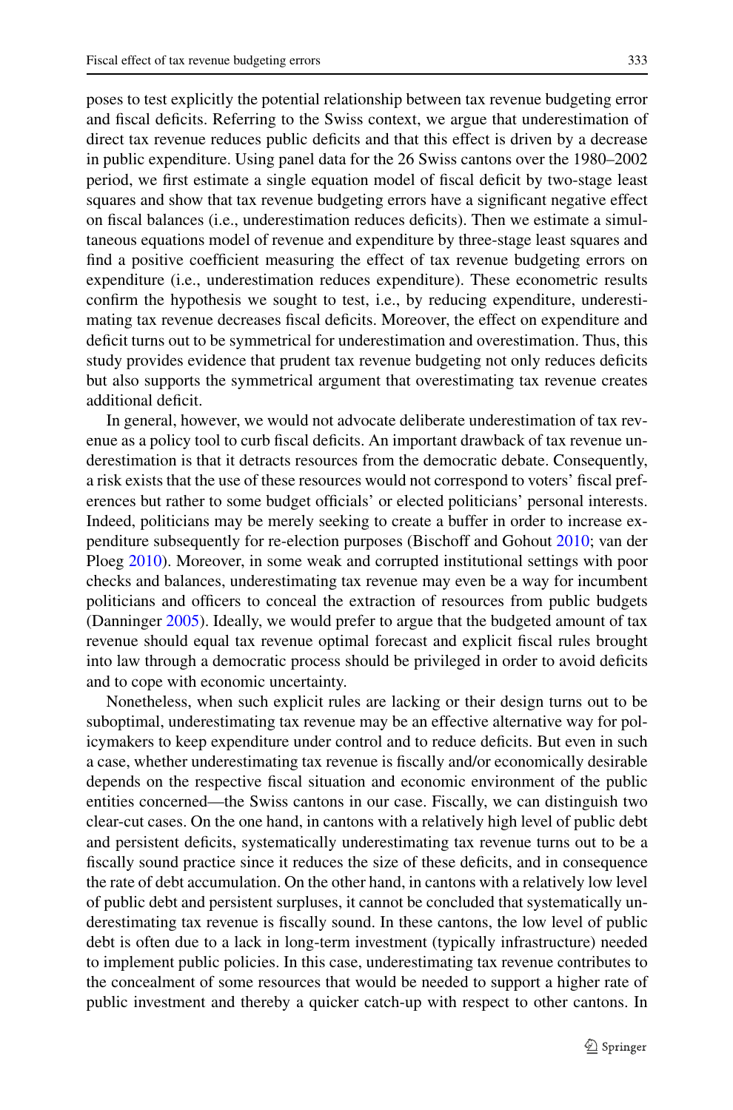poses to test explicitly the potential relationship between tax revenue budgeting error and fiscal deficits. Referring to the Swiss context, we argue that underestimation of direct tax revenue reduces public deficits and that this effect is driven by a decrease in public expenditure. Using panel data for the 26 Swiss cantons over the 1980–2002 period, we first estimate a single equation model of fiscal deficit by two-stage least squares and show that tax revenue budgeting errors have a significant negative effect on fiscal balances (i.e., underestimation reduces deficits). Then we estimate a simultaneous equations model of revenue and expenditure by three-stage least squares and find a positive coefficient measuring the effect of tax revenue budgeting errors on expenditure (i.e., underestimation reduces expenditure). These econometric results confirm the hypothesis we sought to test, i.e., by reducing expenditure, underestimating tax revenue decreases fiscal deficits. Moreover, the effect on expenditure and deficit turns out to be symmetrical for underestimation and overestimation. Thus, this study provides evidence that prudent tax revenue budgeting not only reduces deficits but also supports the symmetrical argument that overestimating tax revenue creates additional deficit.

In general, however, we would not advocate deliberate underestimation of tax revenue as a policy tool to curb fiscal deficits. An important drawback of tax revenue underestimation is that it detracts resources from the democratic debate. Consequently, a risk exists that the use of these resources would not correspond to voters' fiscal preferences but rather to some budget officials' or elected politicians' personal interests. Indeed, politicians may be merely seeking to create a buffer in order to increase expenditure subsequently for re-election purposes (Bischoff and Gohout [2010;](#page-18-2) van der Ploeg [2010](#page-19-2)). Moreover, in some weak and corrupted institutional settings with poor checks and balances, underestimating tax revenue may even be a way for incumbent politicians and officers to conceal the extraction of resources from public budgets (Danninger [2005\)](#page-18-18). Ideally, we would prefer to argue that the budgeted amount of tax revenue should equal tax revenue optimal forecast and explicit fiscal rules brought into law through a democratic process should be privileged in order to avoid deficits and to cope with economic uncertainty.

Nonetheless, when such explicit rules are lacking or their design turns out to be suboptimal, underestimating tax revenue may be an effective alternative way for policymakers to keep expenditure under control and to reduce deficits. But even in such a case, whether underestimating tax revenue is fiscally and/or economically desirable depends on the respective fiscal situation and economic environment of the public entities concerned—the Swiss cantons in our case. Fiscally, we can distinguish two clear-cut cases. On the one hand, in cantons with a relatively high level of public debt and persistent deficits, systematically underestimating tax revenue turns out to be a fiscally sound practice since it reduces the size of these deficits, and in consequence the rate of debt accumulation. On the other hand, in cantons with a relatively low level of public debt and persistent surpluses, it cannot be concluded that systematically underestimating tax revenue is fiscally sound. In these cantons, the low level of public debt is often due to a lack in long-term investment (typically infrastructure) needed to implement public policies. In this case, underestimating tax revenue contributes to the concealment of some resources that would be needed to support a higher rate of public investment and thereby a quicker catch-up with respect to other cantons. In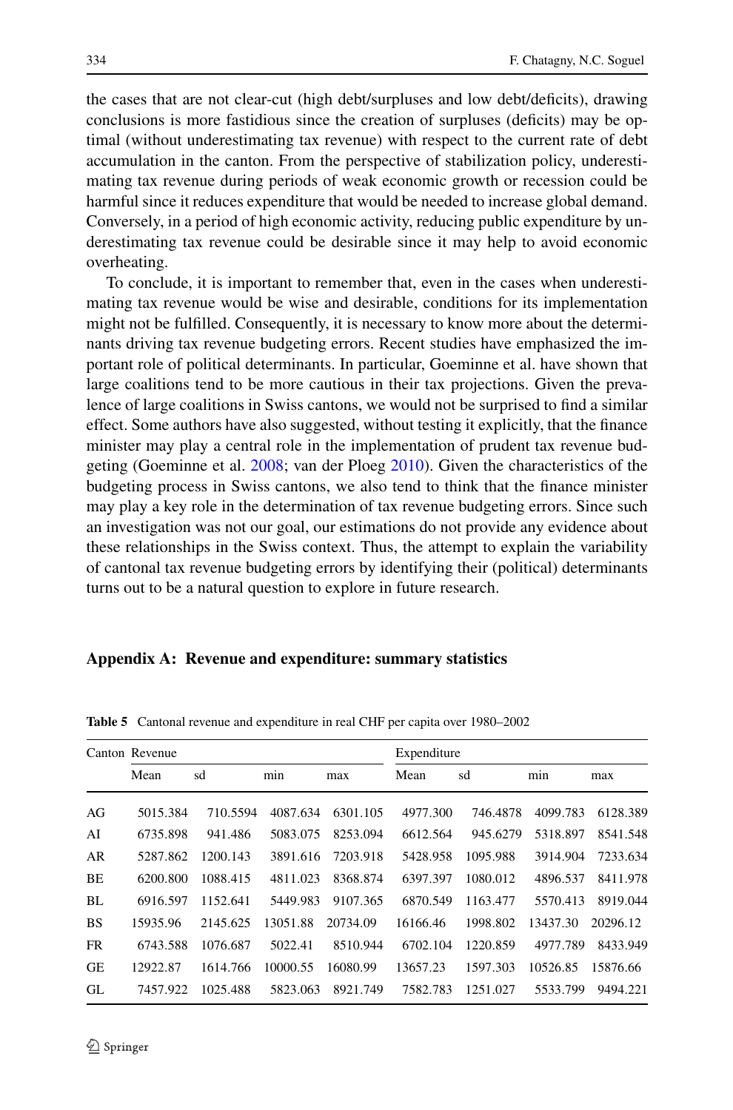the cases that are not clear-cut (high debt/surpluses and low debt/deficits), drawing conclusions is more fastidious since the creation of surpluses (deficits) may be optimal (without underestimating tax revenue) with respect to the current rate of debt accumulation in the canton. From the perspective of stabilization policy, underestimating tax revenue during periods of weak economic growth or recession could be harmful since it reduces expenditure that would be needed to increase global demand. Conversely, in a period of high economic activity, reducing public expenditure by underestimating tax revenue could be desirable since it may help to avoid economic overheating.

To conclude, it is important to remember that, even in the cases when underestimating tax revenue would be wise and desirable, conditions for its implementation might not be fulfilled. Consequently, it is necessary to know more about the determinants driving tax revenue budgeting errors. Recent studies have emphasized the important role of political determinants. In particular, Goeminne et al. have shown that large coalitions tend to be more cautious in their tax projections. Given the prevalence of large coalitions in Swiss cantons, we would not be surprised to find a similar effect. Some authors have also suggested, without testing it explicitly, that the finance minister may play a central role in the implementation of prudent tax revenue budgeting (Goeminne et al. [2008](#page-18-0); van der Ploeg [2010](#page-19-2)). Given the characteristics of the budgeting process in Swiss cantons, we also tend to think that the finance minister may play a key role in the determination of tax revenue budgeting errors. Since such an investigation was not our goal, our estimations do not provide any evidence about these relationships in the Swiss context. Thus, the attempt to explain the variability of cantonal tax revenue budgeting errors by identifying their (political) determinants turns out to be a natural question to explore in future research.

#### <span id="page-16-0"></span>**Appendix A: Revenue and expenditure: summary statistics**

|           | Canton Revenue |          |          |          | Expenditure |          |          |          |
|-----------|----------------|----------|----------|----------|-------------|----------|----------|----------|
|           | Mean           | sd       | min      | max      | Mean        | sd       | min      | max      |
| AG        | 5015.384       | 710.5594 | 4087.634 | 6301.105 | 4977.300    | 746.4878 | 4099.783 | 6128.389 |
| AI        | 6735.898       | 941.486  | 5083.075 | 8253.094 | 6612.564    | 945.6279 | 5318.897 | 8541.548 |
| AR        | 5287.862       | 1200.143 | 3891.616 | 7203.918 | 5428.958    | 1095.988 | 3914.904 | 7233.634 |
| BE        | 6200.800       | 1088.415 | 4811.023 | 8368.874 | 6397.397    | 1080.012 | 4896.537 | 8411.978 |
| BL        | 6916.597       | 1152.641 | 5449.983 | 9107.365 | 6870.549    | 1163.477 | 5570.413 | 8919.044 |
| <b>BS</b> | 15935.96       | 2145.625 | 13051.88 | 20734.09 | 16166.46    | 1998.802 | 13437.30 | 20296.12 |
| <b>FR</b> | 6743.588       | 1076.687 | 5022.41  | 8510.944 | 6702.104    | 1220.859 | 4977.789 | 8433.949 |
| <b>GE</b> | 12922.87       | 1614.766 | 10000.55 | 16080.99 | 13657.23    | 1597.303 | 10526.85 | 15876.66 |
| GL.       | 7457.922       | 1025.488 | 5823.063 | 8921.749 | 7582.783    | 1251.027 | 5533.799 | 9494.221 |

**Table 5** Cantonal revenue and expenditure in real CHF per capita over 1980–2002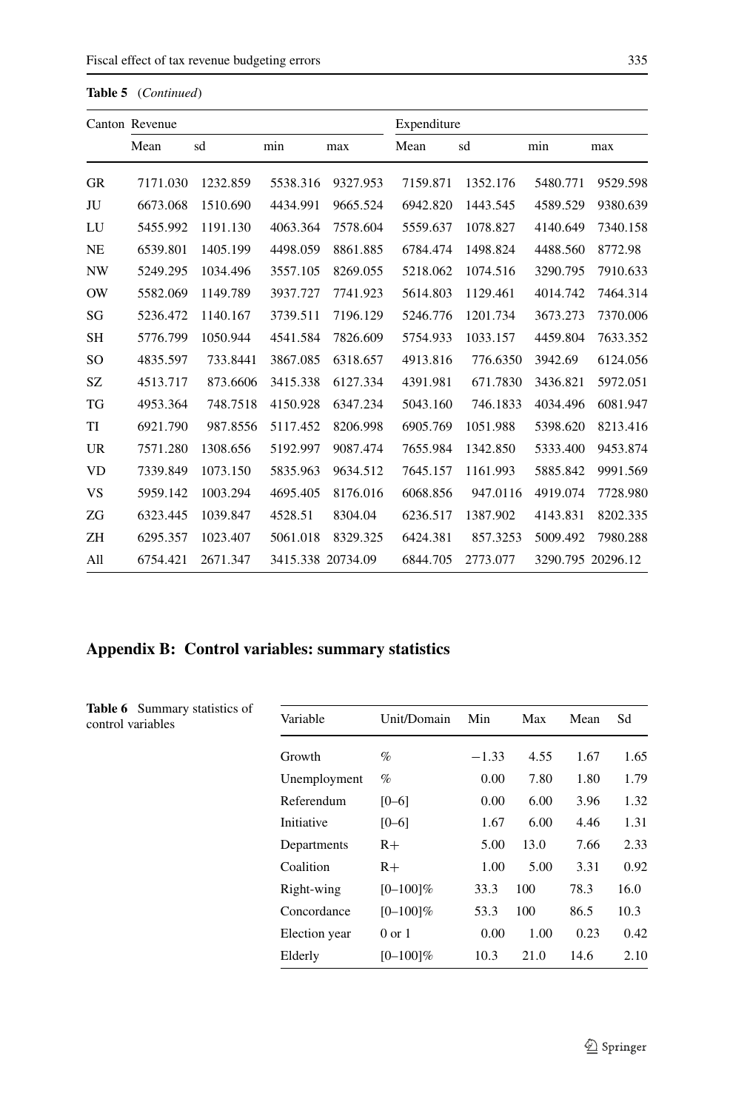| Table 5 | (Continued) |
|---------|-------------|
|---------|-------------|

|               | Canton Revenue |          |          |                   | Expenditure |          |          |                   |
|---------------|----------------|----------|----------|-------------------|-------------|----------|----------|-------------------|
|               | Mean           | sd       | min      | max               | Mean        | sd       | min      | max               |
| <b>GR</b>     | 7171.030       | 1232.859 | 5538.316 | 9327.953          | 7159.871    | 1352.176 | 5480.771 | 9529.598          |
| JU            | 6673.068       | 1510.690 | 4434.991 | 9665.524          | 6942.820    | 1443.545 | 4589.529 | 9380.639          |
| LU            | 5455.992       | 1191.130 | 4063.364 | 7578.604          | 5559.637    | 1078.827 | 4140.649 | 7340.158          |
| <b>NE</b>     | 6539.801       | 1405.199 | 4498.059 | 8861.885          | 6784.474    | 1498.824 | 4488.560 | 8772.98           |
| <b>NW</b>     | 5249.295       | 1034.496 | 3557.105 | 8269.055          | 5218.062    | 1074.516 | 3290.795 | 7910.633          |
| <b>OW</b>     | 5582.069       | 1149.789 | 3937.727 | 7741.923          | 5614.803    | 1129.461 | 4014.742 | 7464.314          |
| SG            | 5236.472       | 1140.167 | 3739.511 | 7196.129          | 5246.776    | 1201.734 | 3673.273 | 7370.006          |
| <b>SH</b>     | 5776.799       | 1050.944 | 4541.584 | 7826.609          | 5754.933    | 1033.157 | 4459.804 | 7633.352          |
| <sub>SO</sub> | 4835.597       | 733.8441 | 3867.085 | 6318.657          | 4913.816    | 776.6350 | 3942.69  | 6124.056          |
| SZ            | 4513.717       | 873.6606 | 3415.338 | 6127.334          | 4391.981    | 671.7830 | 3436.821 | 5972.051          |
| TG            | 4953.364       | 748.7518 | 4150.928 | 6347.234          | 5043.160    | 746.1833 | 4034.496 | 6081.947          |
| TI            | 6921.790       | 987.8556 | 5117.452 | 8206.998          | 6905.769    | 1051.988 | 5398.620 | 8213.416          |
| <b>UR</b>     | 7571.280       | 1308.656 | 5192.997 | 9087.474          | 7655.984    | 1342.850 | 5333.400 | 9453.874          |
| <b>VD</b>     | 7339.849       | 1073.150 | 5835.963 | 9634.512          | 7645.157    | 1161.993 | 5885.842 | 9991.569          |
| <b>VS</b>     | 5959.142       | 1003.294 | 4695.405 | 8176.016          | 6068.856    | 947.0116 | 4919.074 | 7728.980          |
| ZG            | 6323.445       | 1039.847 | 4528.51  | 8304.04           | 6236.517    | 1387.902 | 4143.831 | 8202.335          |
| ZH            | 6295.357       | 1023.407 | 5061.018 | 8329.325          | 6424.381    | 857.3253 | 5009.492 | 7980.288          |
| All           | 6754.421       | 2671.347 |          | 3415.338 20734.09 | 6844.705    | 2773.077 |          | 3290.795 20296.12 |

# **Appendix B: Control variables: summary statistics**

| <b>Table 6</b> Summary statistics of<br>control variables | Variable      | Unit/Domain   | Min     | Max  | Mean | Sd   |  |  |
|-----------------------------------------------------------|---------------|---------------|---------|------|------|------|--|--|
|                                                           | Growth        | $\%$          | $-1.33$ | 4.55 | 1.67 | 1.65 |  |  |
|                                                           | Unemployment  | $\%$          | 0.00    | 7.80 | 1.80 | 1.79 |  |  |
|                                                           | Referendum    | $[0 - 6]$     | 0.00    | 6.00 | 3.96 | 1.32 |  |  |
|                                                           | Initiative    | $[0 - 6]$     | 1.67    | 6.00 | 4.46 | 1.31 |  |  |
|                                                           | Departments   | $R+$          | 5.00    | 13.0 | 7.66 | 2.33 |  |  |
|                                                           | Coalition     | $R+$          | 1.00    | 5.00 | 3.31 | 0.92 |  |  |
|                                                           | Right-wing    | $[0 - 100]$ % | 33.3    | 100  | 78.3 | 16.0 |  |  |
|                                                           | Concordance   | $[0 - 100]$ % | 53.3    | 100  | 86.5 | 10.3 |  |  |
|                                                           | Election year | $0$ or $1$    | 0.00    | 1.00 | 0.23 | 0.42 |  |  |
|                                                           | Elderly       | $[0 - 100]$ % | 10.3    | 21.0 | 14.6 | 2.10 |  |  |
|                                                           |               |               |         |      |      |      |  |  |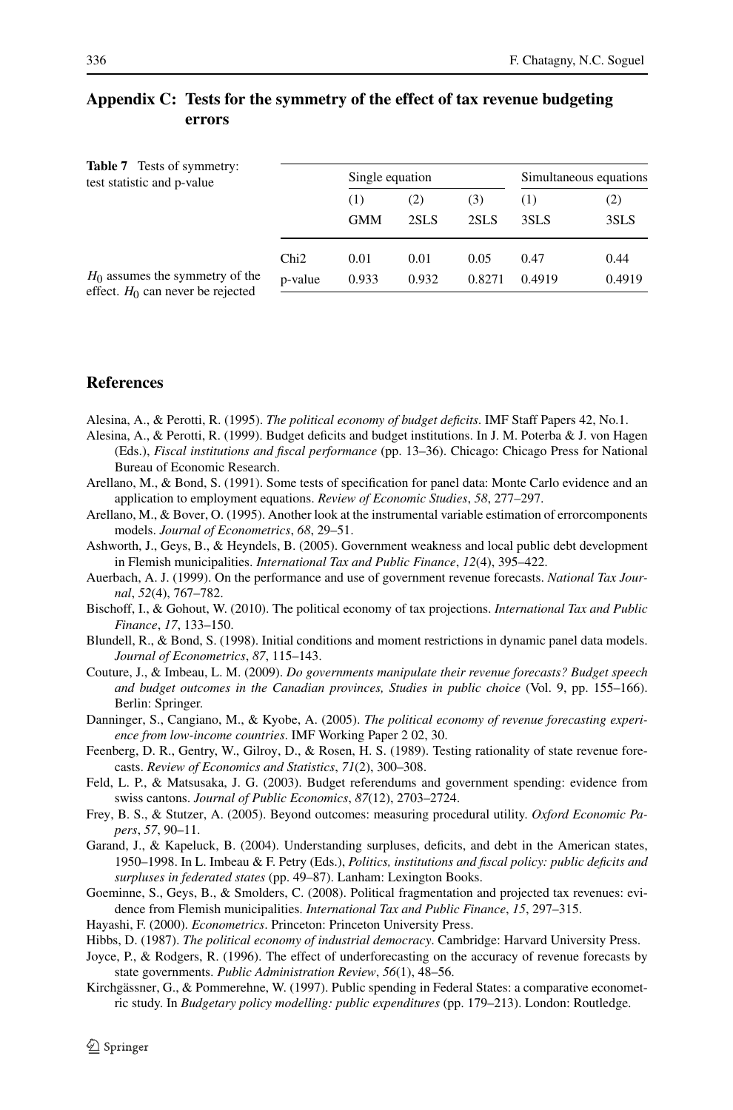# <span id="page-18-16"></span>**Appendix C: Tests for the symmetry of the effect of tax revenue budgeting errors**

<span id="page-18-5"></span>

| <b>Table 7</b> Tests of symmetry:<br>test statistic and p-value |                 |                   | Single equation |                |                | Simultaneous equations |  |
|-----------------------------------------------------------------|-----------------|-------------------|-----------------|----------------|----------------|------------------------|--|
|                                                                 |                 | (1)<br><b>GMM</b> | (2)<br>2SLS     | (3)<br>2SLS    | (1)<br>3SLS    | (2)<br>3SLS            |  |
| $H_0$ assumes the symmetry of the                               | Chi2<br>p-value | 0.01<br>0.933     | 0.01<br>0.932   | 0.05<br>0.8271 | 0.47<br>0.4919 | 0.44<br>0.4919         |  |
| effect. $H_0$ can never be rejected                             |                 |                   |                 |                |                |                        |  |

#### <span id="page-18-14"></span><span id="page-18-13"></span><span id="page-18-9"></span><span id="page-18-1"></span>**References**

- <span id="page-18-4"></span>Alesina, A., & Perotti, R. (1995). *The political economy of budget deficits*. IMF Staff Papers 42, No.1.
- <span id="page-18-2"></span>Alesina, A., & Perotti, R. (1999). Budget deficits and budget institutions. In J. M. Poterba & J. von Hagen (Eds.), *Fiscal institutions and fiscal performance* (pp. 13–36). Chicago: Chicago Press for National Bureau of Economic Research.
- <span id="page-18-15"></span>Arellano, M., & Bond, S. (1991). Some tests of specification for panel data: Monte Carlo evidence and an application to employment equations. *Review of Economic Studies*, *58*, 277–297.
- <span id="page-18-7"></span>Arellano, M., & Bover, O. (1995). Another look at the instrumental variable estimation of errorcomponents models. *Journal of Econometrics*, *68*, 29–51.
- Ashworth, J., Geys, B., & Heyndels, B. (2005). Government weakness and local public debt development in Flemish municipalities. *International Tax and Public Finance*, *12*(4), 395–422.
- <span id="page-18-18"></span>Auerbach, A. J. (1999). On the performance and use of government revenue forecasts. *National Tax Journal*, *52*(4), 767–782.
- <span id="page-18-3"></span>Bischoff, I., & Gohout, W. (2010). The political economy of tax projections. *International Tax and Public Finance*, *17*, 133–150.
- <span id="page-18-11"></span>Blundell, R., & Bond, S. (1998). Initial conditions and moment restrictions in dynamic panel data models. *Journal of Econometrics*, *87*, 115–143.
- <span id="page-18-12"></span><span id="page-18-10"></span>Couture, J., & Imbeau, L. M. (2009). *Do governments manipulate their revenue forecasts? Budget speech and budget outcomes in the Canadian provinces, Studies in public choice* (Vol. 9, pp. 155–166). Berlin: Springer.
- Danninger, S., Cangiano, M., & Kyobe, A. (2005). *The political economy of revenue forecasting experience from low-income countries*. IMF Working Paper 2 02, 30.
- <span id="page-18-0"></span>Feenberg, D. R., Gentry, W., Gilroy, D., & Rosen, H. S. (1989). Testing rationality of state revenue forecasts. *Review of Economics and Statistics*, *71*(2), 300–308.
- <span id="page-18-17"></span><span id="page-18-6"></span>Feld, L. P., & Matsusaka, J. G. (2003). Budget referendums and government spending: evidence from swiss cantons. *Journal of Public Economics*, *87*(12), 2703–2724.
- Frey, B. S., & Stutzer, A. (2005). Beyond outcomes: measuring procedural utility. *Oxford Economic Papers*, *57*, 90–11.
- <span id="page-18-8"></span>Garand, J., & Kapeluck, B. (2004). Understanding surpluses, deficits, and debt in the American states, 1950–1998. In L. Imbeau & F. Petry (Eds.), *Politics, institutions and fiscal policy: public deficits and surpluses in federated states* (pp. 49–87). Lanham: Lexington Books.
- Goeminne, S., Geys, B., & Smolders, C. (2008). Political fragmentation and projected tax revenues: evidence from Flemish municipalities. *International Tax and Public Finance*, *15*, 297–315.
- Hayashi, F. (2000). *Econometrics*. Princeton: Princeton University Press.
- Hibbs, D. (1987). *The political economy of industrial democracy*. Cambridge: Harvard University Press.
- Joyce, P., & Rodgers, R. (1996). The effect of underforecasting on the accuracy of revenue forecasts by state governments. *Public Administration Review*, *56*(1), 48–56.
- Kirchgässner, G., & Pommerehne, W. (1997). Public spending in Federal States: a comparative econometric study. In *Budgetary policy modelling: public expenditures* (pp. 179–213). London: Routledge.